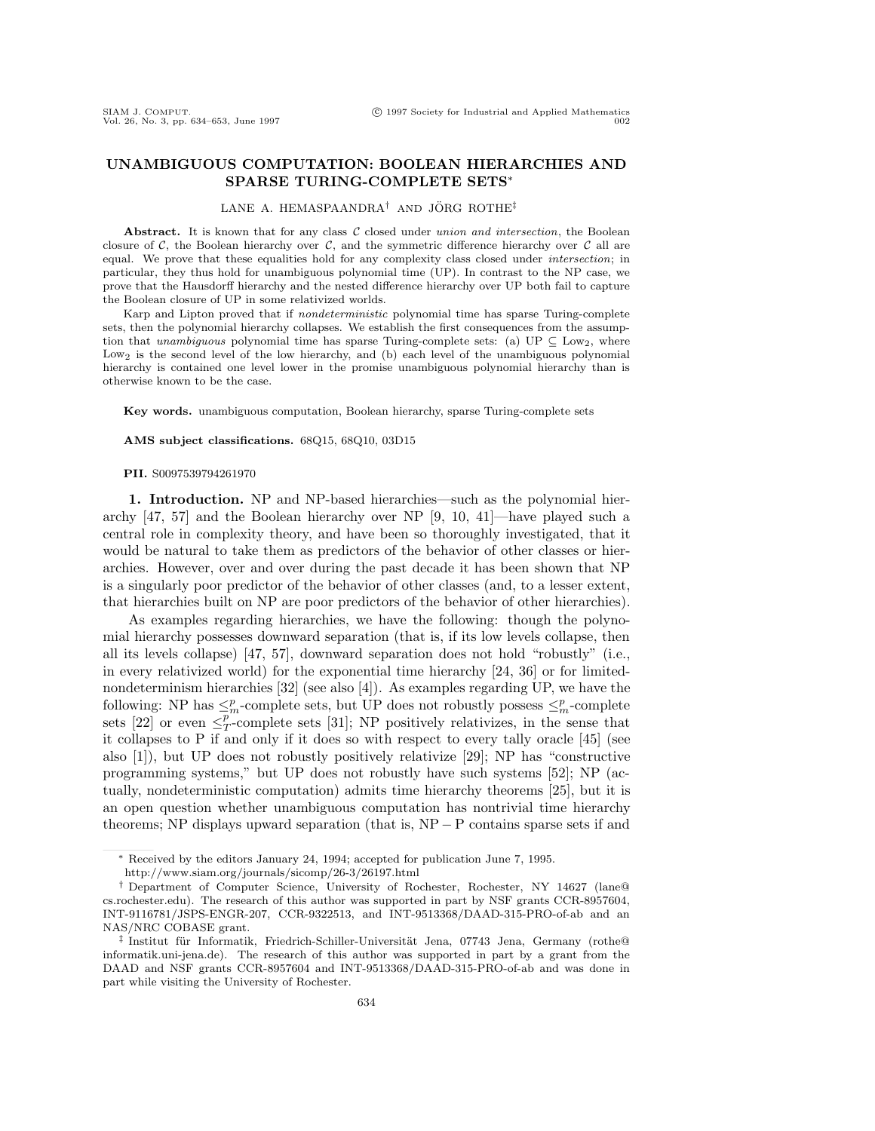# **UNAMBIGUOUS COMPUTATION: BOOLEAN HIERARCHIES AND SPARSE TURING-COMPLETE SETS***<sup>∗</sup>*

# LANE A. HEMASPAANDRA<sup>†</sup> AND JÖRG ROTHE<sup>‡</sup>

Abstract. It is known that for any class C closed under union and intersection, the Boolean closure of *C*, the Boolean hierarchy over *C*, and the symmetric difference hierarchy over *C* all are equal. We prove that these equalities hold for any complexity class closed under intersection; in particular, they thus hold for unambiguous polynomial time (UP). In contrast to the NP case, we prove that the Hausdorff hierarchy and the nested difference hierarchy over UP both fail to capture the Boolean closure of UP in some relativized worlds.

Karp and Lipton proved that if nondeterministic polynomial time has sparse Turing-complete sets, then the polynomial hierarchy collapses. We establish the first consequences from the assumption that unambiguous polynomial time has sparse Turing-complete sets: (a) UP  $\subseteq$  Low<sub>2</sub>, where Low<sub>2</sub> is the second level of the low hierarchy, and (b) each level of the unambiguous polynomial hierarchy is contained one level lower in the promise unambiguous polynomial hierarchy than is otherwise known to be the case.

**Key words.** unambiguous computation, Boolean hierarchy, sparse Turing-complete sets

# **AMS subject classifications.** 68Q15, 68Q10, 03D15

#### **PII.** S0097539794261970

**1. Introduction.** NP and NP-based hierarchies—such as the polynomial hierarchy [47, 57] and the Boolean hierarchy over NP [9, 10, 41]—have played such a central role in complexity theory, and have been so thoroughly investigated, that it would be natural to take them as predictors of the behavior of other classes or hierarchies. However, over and over during the past decade it has been shown that NP is a singularly poor predictor of the behavior of other classes (and, to a lesser extent, that hierarchies built on NP are poor predictors of the behavior of other hierarchies).

As examples regarding hierarchies, we have the following: though the polynomial hierarchy possesses downward separation (that is, if its low levels collapse, then all its levels collapse) [47, 57], downward separation does not hold "robustly" (i.e., in every relativized world) for the exponential time hierarchy [24, 36] or for limitednondeterminism hierarchies [32] (see also [4]). As examples regarding UP, we have the following: NP has  $\leq^p_m$ -complete sets, but UP does not robustly possess  $\leq^p_m$ -complete sets [22] or even  $\leq^p_T$ -complete sets [31]; NP positively relativizes, in the sense that it collapses to P if and only if it does so with respect to every tally oracle [45] (see also [1]), but UP does not robustly positively relativize [29]; NP has "constructive programming systems," but UP does not robustly have such systems [52]; NP (actually, nondeterministic computation) admits time hierarchy theorems [25], but it is an open question whether unambiguous computation has nontrivial time hierarchy theorems; NP displays upward separation (that is, NP*−* P contains sparse sets if and

*<sup>∗</sup>* Received by the editors January 24, 1994; accepted for publication June 7, 1995.

http://www.siam.org/journals/sicomp/26-3/26197.html

*<sup>†</sup>* Department of Computer Science, University of Rochester, Rochester, NY 14627 (lane@ cs.rochester.edu). The research of this author was supported in part by NSF grants CCR-8957604, INT-9116781/JSPS-ENGR-207, CCR-9322513, and INT-9513368/DAAD-315-PRO-of-ab and an NAS/NRC COBASE grant.

<sup>&</sup>lt;sup>‡</sup> Institut für Informatik, Friedrich-Schiller-Universität Jena, 07743 Jena, Germany (rothe<sup>@</sup> informatik.uni-jena.de). The research of this author was supported in part by a grant from the DAAD and NSF grants CCR-8957604 and INT-9513368/DAAD-315-PRO-of-ab and was done in part while visiting the University of Rochester.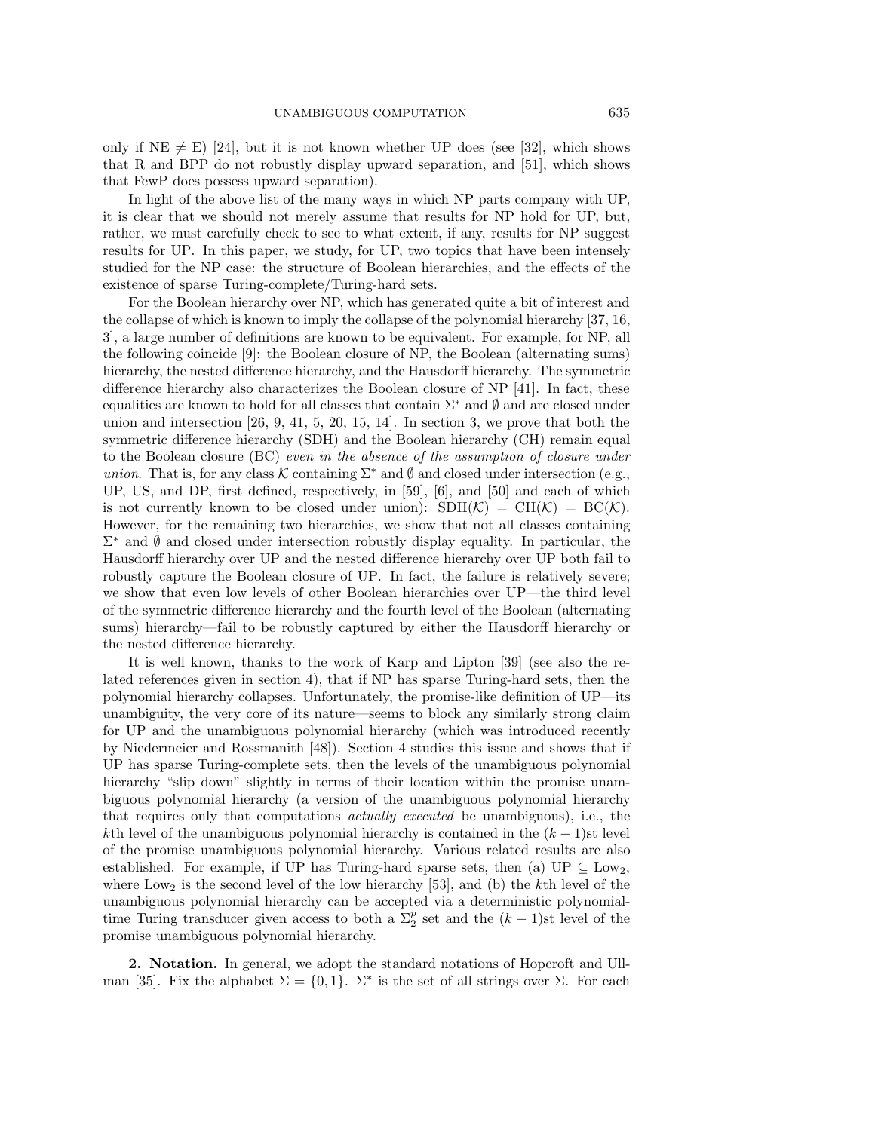only if  $NE \neq E$ ) [24], but it is not known whether UP does (see [32], which shows that R and BPP do not robustly display upward separation, and [51], which shows that FewP does possess upward separation).

In light of the above list of the many ways in which NP parts company with UP, it is clear that we should not merely assume that results for NP hold for UP, but, rather, we must carefully check to see to what extent, if any, results for NP suggest results for UP. In this paper, we study, for UP, two topics that have been intensely studied for the NP case: the structure of Boolean hierarchies, and the effects of the existence of sparse Turing-complete/Turing-hard sets.

For the Boolean hierarchy over NP, which has generated quite a bit of interest and the collapse of which is known to imply the collapse of the polynomial hierarchy [37, 16, 3], a large number of definitions are known to be equivalent. For example, for NP, all the following coincide [9]: the Boolean closure of NP, the Boolean (alternating sums) hierarchy, the nested difference hierarchy, and the Hausdorff hierarchy. The symmetric difference hierarchy also characterizes the Boolean closure of NP [41]. In fact, these equalities are known to hold for all classes that contain Σ*<sup>∗</sup>* and *∅* and are closed under union and intersection [26, 9, 41, 5, 20, 15, 14]. In section 3, we prove that both the symmetric difference hierarchy (SDH) and the Boolean hierarchy (CH) remain equal to the Boolean closure (BC) even in the absence of the assumption of closure under union. That is, for any class  $K$  containing  $\Sigma^*$  and  $\emptyset$  and closed under intersection (e.g., UP, US, and DP, first defined, respectively, in [59], [6], and [50] and each of which is not currently known to be closed under union):  $\text{SDH}(\mathcal{K}) = \text{CH}(\mathcal{K}) = \text{BC}(\mathcal{K})$ . However, for the remaining two hierarchies, we show that not all classes containing Σ*<sup>∗</sup>* and *∅* and closed under intersection robustly display equality. In particular, the Hausdorff hierarchy over UP and the nested difference hierarchy over UP both fail to robustly capture the Boolean closure of UP. In fact, the failure is relatively severe; we show that even low levels of other Boolean hierarchies over UP—the third level of the symmetric difference hierarchy and the fourth level of the Boolean (alternating sums) hierarchy—fail to be robustly captured by either the Hausdorff hierarchy or the nested difference hierarchy.

It is well known, thanks to the work of Karp and Lipton [39] (see also the related references given in section 4), that if NP has sparse Turing-hard sets, then the polynomial hierarchy collapses. Unfortunately, the promise-like definition of UP—its unambiguity, the very core of its nature—seems to block any similarly strong claim for UP and the unambiguous polynomial hierarchy (which was introduced recently by Niedermeier and Rossmanith [48]). Section 4 studies this issue and shows that if UP has sparse Turing-complete sets, then the levels of the unambiguous polynomial hierarchy "slip down" slightly in terms of their location within the promise unambiguous polynomial hierarchy (a version of the unambiguous polynomial hierarchy that requires only that computations actually executed be unambiguous), i.e., the kth level of the unambiguous polynomial hierarchy is contained in the  $(k-1)$ st level of the promise unambiguous polynomial hierarchy. Various related results are also established. For example, if UP has Turing-hard sparse sets, then (a)  $\text{UP} \subseteq \text{Low}_2$ , where  $\text{Low}_2$  is the second level of the low hierarchy [53], and (b) the kth level of the unambiguous polynomial hierarchy can be accepted via a deterministic polynomialtime Turing transducer given access to both a  $\Sigma_2^p$  set and the  $(k-1)$ st level of the promise unambiguous polynomial hierarchy.

**2. Notation.** In general, we adopt the standard notations of Hopcroft and Ullman [35]. Fix the alphabet  $\Sigma = \{0, 1\}$ .  $\Sigma^*$  is the set of all strings over  $\Sigma$ . For each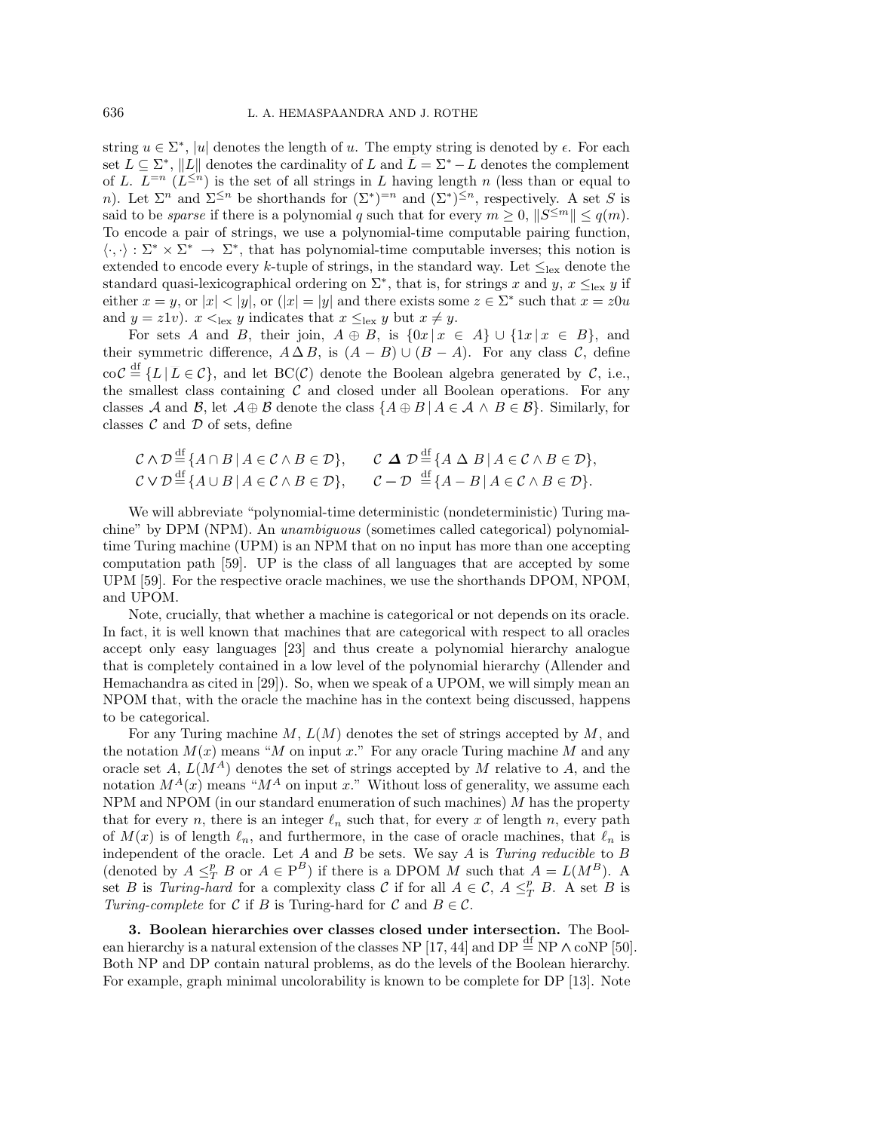string  $u \in \Sigma^*$ , |u| denotes the length of u. The empty string is denoted by  $\epsilon$ . For each set  $L \subseteq \Sigma^*$ ,  $||L||$  denotes the cardinality of L and  $\overline{L} = \Sigma^* - L$  denotes the complement of L.  $L^{=n}$  ( $L^{\leq n}$ ) is the set of all strings in L having length n (less than or equal to n). Let  $\Sigma^n$  and  $\Sigma^{\leq n}$  be shorthands for  $(\Sigma^*)^{=n}$  and  $(\Sigma^*)^{\leq n}$ , respectively. A set S is said to be *sparse* if there is a polynomial q such that for every  $m \geq 0$ ,  $||S^{\leq m}|| \leq q(m)$ . To encode a pair of strings, we use a polynomial-time computable pairing function,  $\langle \cdot, \cdot \rangle : \Sigma^* \times \Sigma^* \to \Sigma^*$ , that has polynomial-time computable inverses; this notion is extended to encode every k-tuple of strings, in the standard way. Let  $\leq_{\text{lex}}$  denote the standard quasi-lexicographical ordering on  $\Sigma^*$ , that is, for strings x and y,  $x \leq_{\text{lex}} y$  if either  $x = y$ , or  $|x| < |y|$ , or  $(|x| = |y|$  and there exists some  $z \in \Sigma^*$  such that  $x = z0u$ and  $y = z1v$ ).  $x <_{\text{lex}} y$  indicates that  $x \leq_{\text{lex}} y$  but  $x \neq y$ .

For sets A and B, their join,  $A \oplus B$ , is  $\{0x \mid x \in A\} \cup \{1x \mid x \in B\}$ , and their symmetric difference,  $A \Delta B$ , is  $(A - B) \cup (B - A)$ . For any class *C*, define  $\cot \mathcal{C} \stackrel{\text{df}}{=} \{L \mid \overline{L} \in \mathcal{C}\},\$  and let  $BC(\mathcal{C})$  denote the Boolean algebra generated by  $\mathcal{C}$ , i.e., the smallest class containing  $C$  and closed under all Boolean operations. For any classes *A* and *B*, let  $A \oplus B$  denote the class  $\{A \oplus B \mid A \in A \land B \in B\}$ . Similarly, for classes  $C$  and  $D$  of sets, define

$$
C \wedge D \stackrel{\text{df}}{=} \{ A \cap B \mid A \in C \wedge B \in \mathcal{D} \}, \qquad C \Delta D \stackrel{\text{df}}{=} \{ A \Delta B \mid A \in C \wedge B \in \mathcal{D} \},
$$
  

$$
C \vee D \stackrel{\text{df}}{=} \{ A \cup B \mid A \in C \wedge B \in \mathcal{D} \}, \qquad C - \mathcal{D} \stackrel{\text{df}}{=} \{ A - B \mid A \in C \wedge B \in \mathcal{D} \}.
$$

We will abbreviate "polynomial-time deterministic (nondeterministic) Turing machine" by DPM (NPM). An unambiguous (sometimes called categorical) polynomialtime Turing machine (UPM) is an NPM that on no input has more than one accepting computation path [59]. UP is the class of all languages that are accepted by some UPM [59]. For the respective oracle machines, we use the shorthands DPOM, NPOM, and UPOM.

Note, crucially, that whether a machine is categorical or not depends on its oracle. In fact, it is well known that machines that are categorical with respect to all oracles accept only easy languages [23] and thus create a polynomial hierarchy analogue that is completely contained in a low level of the polynomial hierarchy (Allender and Hemachandra as cited in [29]). So, when we speak of a UPOM, we will simply mean an NPOM that, with the oracle the machine has in the context being discussed, happens to be categorical.

For any Turing machine  $M, L(M)$  denotes the set of strings accepted by M, and the notation  $M(x)$  means "M on input x." For any oracle Turing machine M and any oracle set A,  $L(M^A)$  denotes the set of strings accepted by M relative to A, and the notation  $M^{A}(x)$  means " $M^{A}$  on input x." Without loss of generality, we assume each NPM and NPOM (in our standard enumeration of such machines)  $M$  has the property that for every n, there is an integer  $\ell_n$  such that, for every x of length n, every path of  $M(x)$  is of length  $\ell_n$ , and furthermore, in the case of oracle machines, that  $\ell_n$  is independent of the oracle. Let  $A$  and  $B$  be sets. We say  $A$  is *Turing reducible* to  $B$ (denoted by  $A \leq_T^p B$  or  $A \in \mathbb{P}^B$ ) if there is a DPOM M such that  $A = L(M^B)$ . A set B is Turing-hard for a complexity class C if for all  $A \in \mathcal{C}$ ,  $A \leq_T^p B$ . A set B is Turing-complete for C if B is Turing-hard for C and  $B \in \mathcal{C}$ .

**3. Boolean hierarchies over classes closed under intersection.** The Boolean hierarchy is a natural extension of the classes NP [17, 44] and DP  $\stackrel{\text{df}}{=}$  NP  $\wedge$  coNP [50]. Both NP and DP contain natural problems, as do the levels of the Boolean hierarchy. For example, graph minimal uncolorability is known to be complete for DP [13]. Note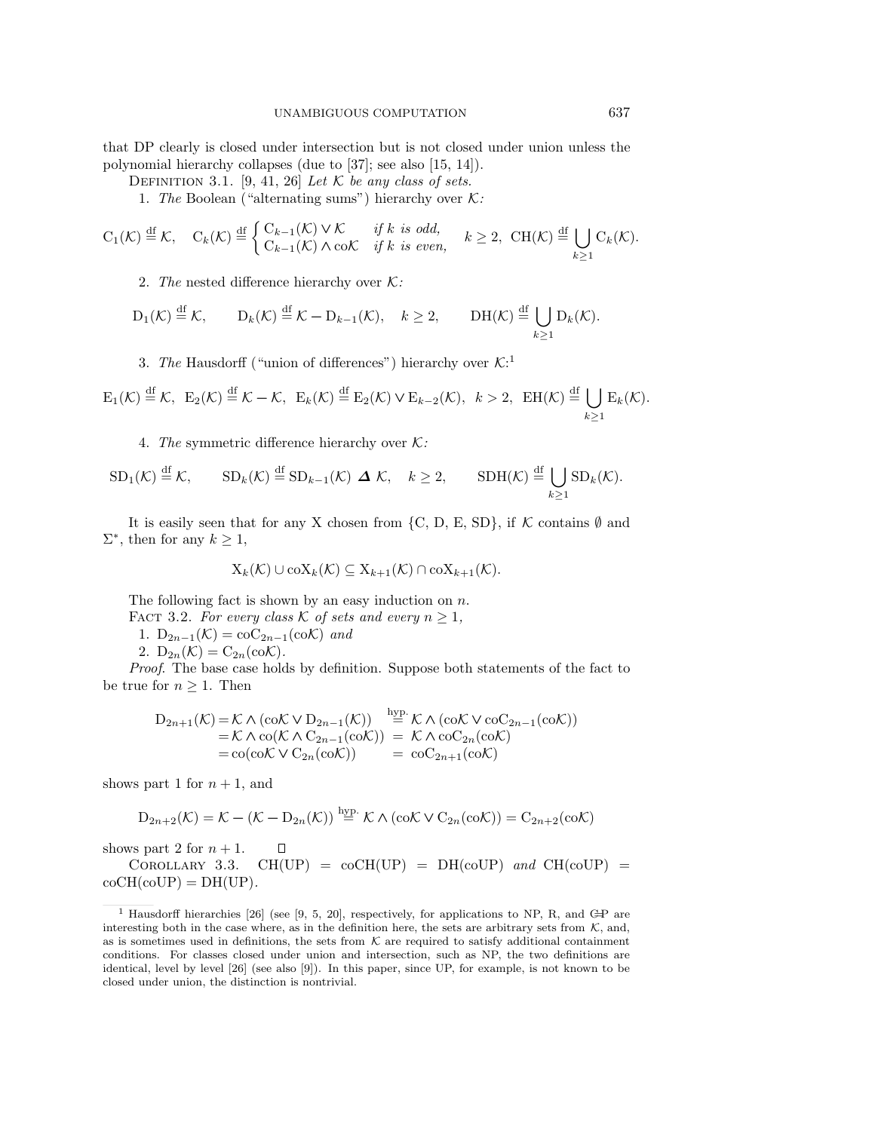that DP clearly is closed under intersection but is not closed under union unless the polynomial hierarchy collapses (due to [37]; see also [15, 14]).

DEFINITION 3.1. [9, 41, 26] Let  $K$  be any class of sets.

1. The Boolean ("alternating sums") hierarchy over *K*:

$$
C_1(\mathcal{K}) \stackrel{\mathrm{df}}{=} \mathcal{K}, \quad C_k(\mathcal{K}) \stackrel{\mathrm{df}}{=} \begin{cases} C_{k-1}(\mathcal{K}) \vee \mathcal{K} & \text{if } k \text{ is odd,} \\ C_{k-1}(\mathcal{K}) \wedge \mathrm{co}\mathcal{K} & \text{if } k \text{ is even,} \end{cases} \quad k \ge 2, \ \mathrm{CH}(\mathcal{K}) \stackrel{\mathrm{df}}{=} \bigcup_{k \ge 1} C_k(\mathcal{K}).
$$

2. The nested difference hierarchy over *K*:

$$
D_1(\mathcal{K}) \stackrel{\mathrm{df}}{=} \mathcal{K}, \qquad D_k(\mathcal{K}) \stackrel{\mathrm{df}}{=} \mathcal{K} - D_{k-1}(\mathcal{K}), \quad k \ge 2, \qquad \text{DH}(\mathcal{K}) \stackrel{\mathrm{df}}{=} \bigcup_{k \ge 1} D_k(\mathcal{K}).
$$

3. The Hausdorff ("union of differences") hierarchy over *K*: 1

$$
\mathrm{E}_1(\mathcal{K}) \stackrel{\mathrm{df}}{=} \mathcal{K}, \ \ \mathrm{E}_2(\mathcal{K}) \stackrel{\mathrm{df}}{=} \mathcal{K} - \mathcal{K}, \ \ \mathrm{E}_k(\mathcal{K}) \stackrel{\mathrm{df}}{=} \mathrm{E}_2(\mathcal{K}) \vee \mathrm{E}_{k-2}(\mathcal{K}), \ \ k > 2, \ \ \mathrm{EH}(\mathcal{K}) \stackrel{\mathrm{df}}{=} \bigcup_{k \geq 1} \mathrm{E}_k(\mathcal{K}).
$$

4. The symmetric difference hierarchy over *K*:

$$
SD_1(\mathcal{K}) \stackrel{\mathrm{df}}{=} \mathcal{K}, \qquad SD_k(\mathcal{K}) \stackrel{\mathrm{df}}{=} SD_{k-1}(\mathcal{K}) \Delta \mathcal{K}, \quad k \ge 2, \qquad SDH(\mathcal{K}) \stackrel{\mathrm{df}}{=} \bigcup_{k \ge 1} SD_k(\mathcal{K}).
$$

It is easily seen that for any X chosen from  $\{C, D, E, SD\}$ , if  $K$  contains  $\emptyset$  and  $\Sigma^*$ , then for any  $k \geq 1$ ,

$$
X_k(\mathcal{K}) \cup \text{coX}_k(\mathcal{K}) \subseteq X_{k+1}(\mathcal{K}) \cap \text{coX}_{k+1}(\mathcal{K}).
$$

The following fact is shown by an easy induction on  $n$ .

FACT 3.2. For every class  $K$  of sets and every  $n \geq 1$ ,

1.  $D_{2n-1}(\mathcal{K}) = \text{coC}_{2n-1}(\text{coK})$  and

2.  $D_{2n}(\mathcal{K})=C_{2n}(\text{co}\mathcal{K})$ .

Proof. The base case holds by definition. Suppose both statements of the fact to be true for  $n \geq 1$ . Then

$$
D_{2n+1}(\mathcal{K}) = \mathcal{K} \wedge (c \circ \mathcal{K} \vee D_{2n-1}(\mathcal{K})) \stackrel{hyp.}{=} \mathcal{K} \wedge (c \circ \mathcal{K} \vee c \circ C_{2n-1}(c \circ \mathcal{K}))
$$
  
=  $\mathcal{K} \wedge c \circ (\mathcal{K} \wedge C_{2n-1}(c \circ \mathcal{K})) = \mathcal{K} \wedge c \circ C_{2n}(c \circ \mathcal{K})$   
=  $c \circ (c \circ \mathcal{K} \vee C_{2n}(c \circ \mathcal{K})) = c \circ C_{2n+1}(c \circ \mathcal{K})$ 

shows part 1 for  $n + 1$ , and

$$
D_{2n+2}(\mathcal{K}) = \mathcal{K} - (\mathcal{K} - D_{2n}(\mathcal{K})) \stackrel{hyp.}{=} \mathcal{K} \wedge (c \circ \mathcal{K} \vee C_{2n}(c \circ \mathcal{K})) = C_{2n+2}(c \circ \mathcal{K})
$$

shows part 2 for  $n + 1$ .  $\Box$ 

COROLLARY 3.3.  $CH(UP) = coCH(UP) = DH(coUP)$  and  $CH(coUP) =$  $coCH(coUP) = DH(UP).$ 

<sup>&</sup>lt;sup>1</sup> Hausdorff hierarchies [26] (see [9, 5, 20], respectively, for applications to NP, R, and GP are interesting both in the case where, as in the definition here, the sets are arbitrary sets from  $K$ , and, as is sometimes used in definitions, the sets from  $K$  are required to satisfy additional containment conditions. For classes closed under union and intersection, such as NP, the two definitions are identical, level by level [26] (see also [9]). In this paper, since UP, for example, is not known to be closed under union, the distinction is nontrivial.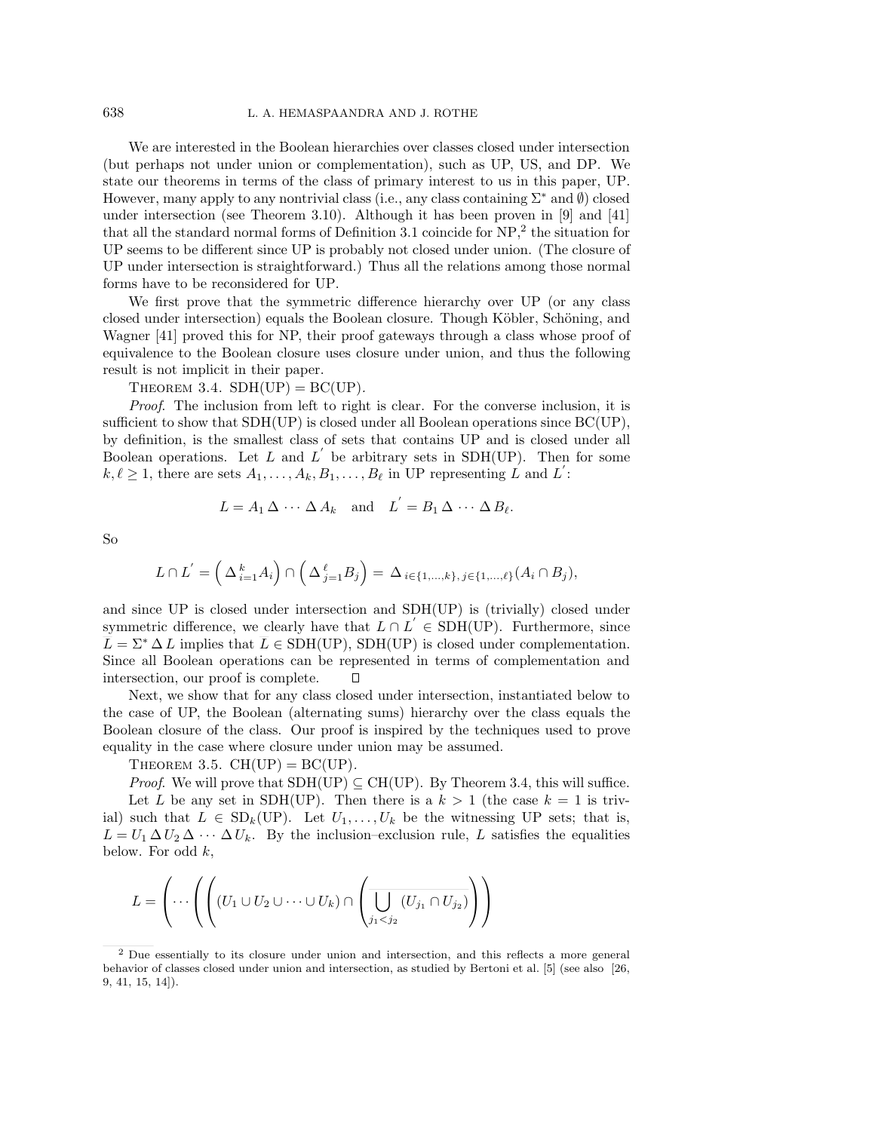We are interested in the Boolean hierarchies over classes closed under intersection (but perhaps not under union or complementation), such as UP, US, and DP. We state our theorems in terms of the class of primary interest to us in this paper, UP. However, many apply to any nontrivial class (i.e., any class containing Σ*<sup>∗</sup>* and *∅*) closed under intersection (see Theorem 3.10). Although it has been proven in [9] and [41] that all the standard normal forms of Definition 3.1 coincide for NP,<sup>2</sup> the situation for UP seems to be different since UP is probably not closed under union. (The closure of UP under intersection is straightforward.) Thus all the relations among those normal forms have to be reconsidered for UP.

We first prove that the symmetric difference hierarchy over UP (or any class closed under intersection) equals the Boolean closure. Though Köbler, Schöning, and Wagner [41] proved this for NP, their proof gateways through a class whose proof of equivalence to the Boolean closure uses closure under union, and thus the following result is not implicit in their paper.

THEOREM 3.4.  $SDH(UP) = BC(UP)$ .

Proof. The inclusion from left to right is clear. For the converse inclusion, it is sufficient to show that  $SDH(UP)$  is closed under all Boolean operations since  $BC(UP)$ , by definition, is the smallest class of sets that contains UP and is closed under all Boolean operations. Let L and  $L'$  be arbitrary sets in SDH(UP). Then for some  $k, \ell \geq 1$ , there are sets  $A_1, \ldots, A_k, B_1, \ldots, B_\ell$  in UP representing L and L<sup>'</sup>:

$$
L = A_1 \Delta \cdots \Delta A_k \quad \text{and} \quad L^{'} = B_1 \Delta \cdots \Delta B_\ell.
$$

So

$$
L \cap L' = \left(\Delta_{i=1}^k A_i\right) \cap \left(\Delta_{j=1}^{\ell} B_j\right) = \Delta_{i \in \{1,\dots,k\}, j \in \{1,\dots,\ell\}} (A_i \cap B_j),
$$

and since UP is closed under intersection and SDH(UP) is (trivially) closed under symmetric difference, we clearly have that  $L \cap L' \in SDH(UP)$ . Furthermore, since  $\overline{L} = \Sigma^* \Delta L$  implies that  $\overline{L} \in SDH(UP)$ , SDH(UP) is closed under complementation. Since all Boolean operations can be represented in terms of complementation and intersection, our proof is complete.  $\Box$ 

Next, we show that for any class closed under intersection, instantiated below to the case of UP, the Boolean (alternating sums) hierarchy over the class equals the Boolean closure of the class. Our proof is inspired by the techniques used to prove equality in the case where closure under union may be assumed.

THEOREM 3.5.  $CH(UP) = BC(UP)$ .

*Proof.* We will prove that  $SDH(UP) \subseteq CH(UP)$ . By Theorem 3.4, this will suffice. Let L be any set in SDH(UP). Then there is a  $k > 1$  (the case  $k = 1$  is trivial) such that  $L \in SD_k(UP)$ . Let  $U_1, \ldots, U_k$  be the witnessing UP sets; that is,  $L = U_1 \Delta U_2 \Delta \cdots \Delta U_k$ . By the inclusion–exclusion rule, L satisfies the equalities below. For odd  $k$ ,

$$
L = \left(\cdots \left(\left(\left(U_1 \cup U_2 \cup \cdots \cup U_k\right) \cap \left(\overline{\bigcup_{j_1 < j_2} \left(U_{j_1} \cap U_{j_2}\right)}\right)\right)\right)
$$

<sup>2</sup> Due essentially to its closure under union and intersection, and this reflects a more general behavior of classes closed under union and intersection, as studied by Bertoni et al. [5] (see also [26, 9, 41, 15, 14]).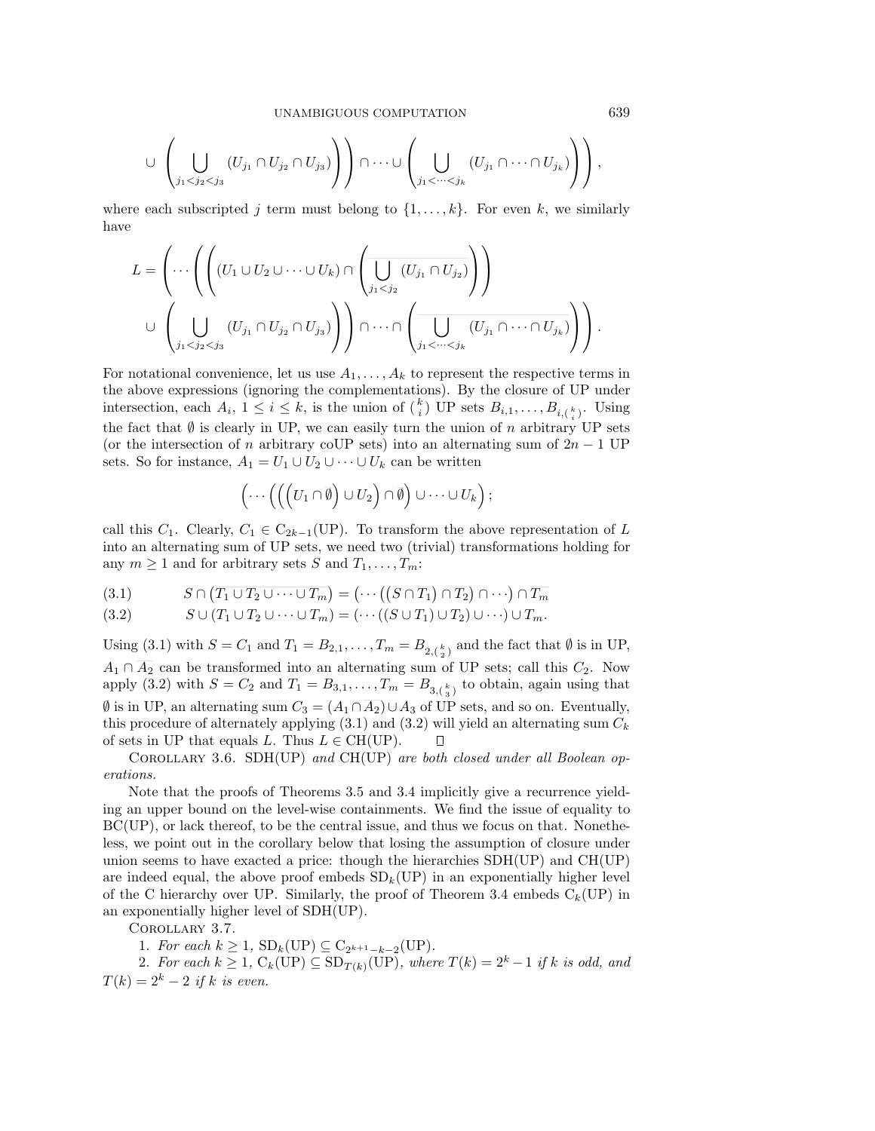$$
\cup \left( \bigcup_{j_1 < j_2 < j_3} (U_{j_1} \cap U_{j_2} \cap U_{j_3}) \right) \cap \dots \cup \left( \bigcup_{j_1 < \dots < j_k} (U_{j_1} \cap \dots \cap U_{j_k}) \right) \right),
$$

where each subscripted j term must belong to  $\{1,\ldots,k\}$ . For even k, we similarly have

$$
L = \left(\cdots \left( \left( (U_1 \cup U_2 \cup \cdots \cup U_k) \cap \left( \overline{\bigcup_{j_1 < j_2} (U_{j_1} \cap U_{j_2})} \right) \right) \right) \cup \left( \bigcup_{j_1 < j_2 < j_3} (U_{j_1} \cap U_{j_2} \cap U_{j_3}) \right) \right) \cap \cdots \cap \left( \overline{\bigcup_{j_1 < \cdots < j_k} (U_{j_1} \cap \cdots \cap U_{j_k})} \right) \right).
$$

For notational convenience, let us use  $A_1, \ldots, A_k$  to represent the respective terms in the above expressions (ignoring the complementations). By the closure of UP under intersection, each  $A_i$ ,  $1 \leq i \leq k$ , is the union of  $\binom{k}{i}$  UP sets  $B_{i,1}, \ldots, B_{i,\binom{k}{i}}$ . Using the fact that  $\emptyset$  is clearly in UP, we can easily turn the union of n arbitrary UP sets (or the intersection of n arbitrary coUP sets) into an alternating sum of  $2n - 1$  UP sets. So for instance,  $A_1 = U_1 \cup U_2 \cup \cdots \cup U_k$  can be written

$$
\left(\cdots\left(\left(\left(U_1\cap\overline{\emptyset}\right)\cup U_2\right)\cap\overline{\emptyset}\right)\cup\cdots\cup U_k\right);
$$

call this  $C_1$ . Clearly,  $C_1 \in C_{2k-1}(\text{UP})$ . To transform the above representation of L into an alternating sum of UP sets, we need two (trivial) transformations holding for any  $m \geq 1$  and for arbitrary sets S and  $T_1, \ldots, T_m$ :

$$
(3.1) \tS \cap (\overline{T_1 \cup T_2 \cup \cdots \cup T_m}) = (\cdots ((S \cap \overline{T_1}) \cap \overline{T_2}) \cap \cdots) \cap \overline{T_m}
$$

$$
(3.2) \qquad S \cup (T_1 \cup T_2 \cup \cdots \cup T_m) = (\cdots ((S \cup T_1) \cup T_2) \cup \cdots) \cup T_m.
$$

Using (3.1) with  $S = C_1$  and  $T_1 = B_{2,1}, \ldots, T_m = B_{2,(\frac{k}{2})}$  and the fact that  $\emptyset$  is in UP,  $A_1 \cap \overline{A_2}$  can be transformed into an alternating sum of UP sets; call this  $C_2$ . Now apply (3.2) with  $S = C_2$  and  $T_1 = B_{3,1}, \ldots, T_m = B_{3,(\frac{k}{3})}$  to obtain, again using that  $\emptyset$  is in UP, an alternating sum  $C_3 = (A_1 \cap \overline{A_2}) \cup A_3$  of UP sets, and so on. Eventually, this procedure of alternately applying  $(3.1)$  and  $(3.2)$  will yield an alternating sum  $C_k$ of sets in UP that equals L. Thus  $L \in CH(UP)$ . П

Corollary 3.6. SDH(UP) and CH(UP) are both closed under all Boolean operations.

Note that the proofs of Theorems 3.5 and 3.4 implicitly give a recurrence yielding an upper bound on the level-wise containments. We find the issue of equality to BC(UP), or lack thereof, to be the central issue, and thus we focus on that. Nonetheless, we point out in the corollary below that losing the assumption of closure under union seems to have exacted a price: though the hierarchies SDH(UP) and CH(UP) are indeed equal, the above proof embeds  $SD_k(UP)$  in an exponentially higher level of the C hierarchy over UP. Similarly, the proof of Theorem 3.4 embeds  $C_k(UP)$  in an exponentially higher level of SDH(UP).

Corollary 3.7.

1. For each  $k \geq 1$ ,  $SD_k(UP) \subseteq C_{2^{k+1}-k-2}(UP)$ .

2. For each  $k \geq 1$ ,  $C_k(\text{UP}) \subseteq SD_{T(k)}(\text{UP})$ , where  $T(k)=2^k-1$  if k is odd, and  $T(k)=2^k-2$  if k is even.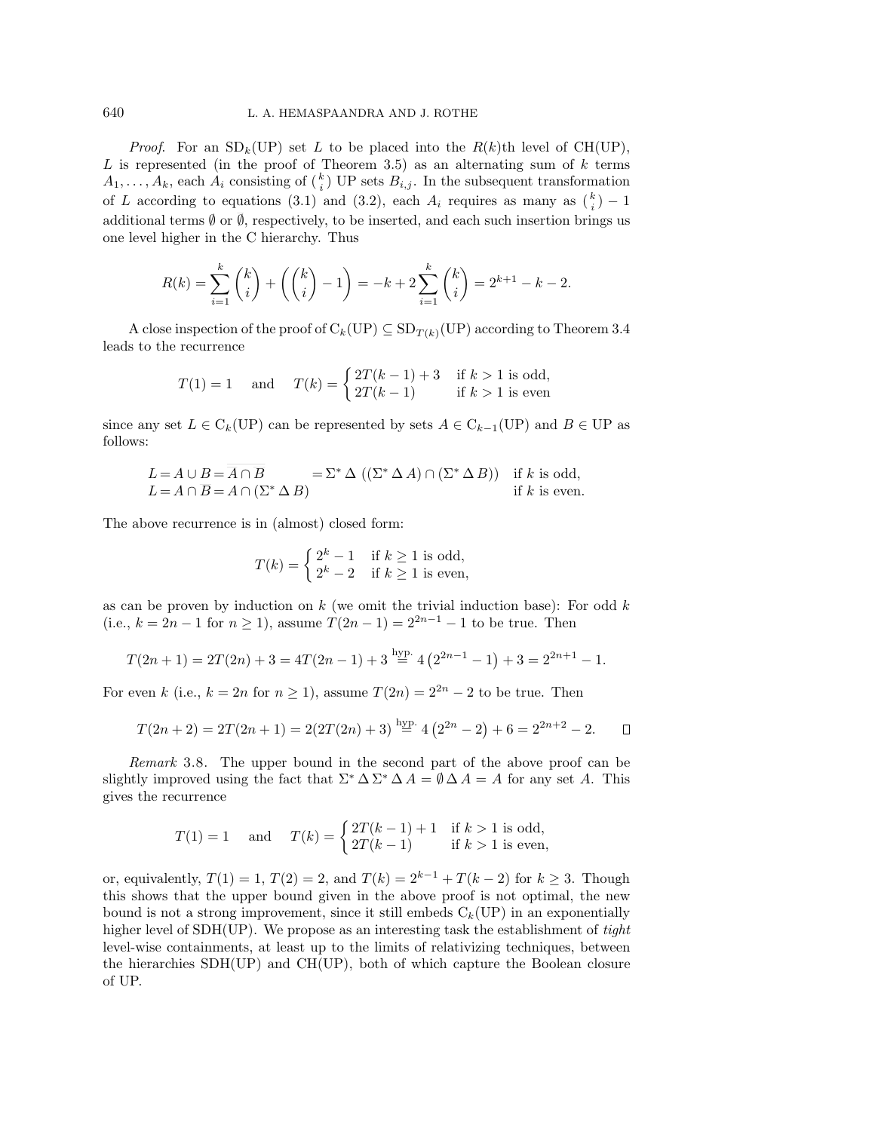*Proof.* For an  $SD_k(UP)$  set L to be placed into the  $R(k)$ th level of CH(UP),  $L$  is represented (in the proof of Theorem 3.5) as an alternating sum of  $k$  terms  $A_1, \ldots, A_k$ , each  $A_i$  consisting of  $\binom{k}{i}$  UP sets  $B_{i,j}$ . In the subsequent transformation of L according to equations (3.1) and (3.2), each  $A_i$  requires as many as  $\binom{k}{i} - 1$ additional terms  $\emptyset$  or  $\overline{\emptyset}$ , respectively, to be inserted, and each such insertion brings us one level higher in the C hierarchy. Thus

$$
R(k) = \sum_{i=1}^{k} {k \choose i} + {k \choose i} - 1 = -k + 2 \sum_{i=1}^{k} {k \choose i} = 2^{k+1} - k - 2.
$$

A close inspection of the proof of  $C_k(\mathrm{UP}) \subseteq SD_{T(k)}(\mathrm{UP})$  according to Theorem 3.4 leads to the recurrence

$$
T(1) = 1 \quad \text{and} \quad T(k) = \begin{cases} 2T(k-1) + 3 & \text{if } k > 1 \text{ is odd,} \\ 2T(k-1) & \text{if } k > 1 \text{ is even} \end{cases}
$$

since any set  $L \in C_k(\text{UP})$  can be represented by sets  $A \in C_{k-1}(\text{UP})$  and  $B \in \text{UP}$  as follows:

$$
L = A \cup B = \overline{A} \cap \overline{B}
$$
  
\n
$$
L = A \cap \overline{B} = A \cap (\Sigma^* \Delta B)
$$
  
\n
$$
= \Sigma^* \Delta ((\Sigma^* \Delta A) \cap (\Sigma^* \Delta B))
$$
 if k is odd,  
\nif k is even.

The above recurrence is in (almost) closed form:

$$
T(k) = \begin{cases} 2^k - 1 & \text{if } k \ge 1 \text{ is odd,} \\ 2^k - 2 & \text{if } k \ge 1 \text{ is even,} \end{cases}
$$

as can be proven by induction on  $k$  (we omit the trivial induction base): For odd  $k$ (i.e.,  $k = 2n - 1$  for  $n \ge 1$ ), assume  $T(2n - 1) = 2^{2n-1} - 1$  to be true. Then

$$
T(2n+1) = 2T(2n) + 3 = 4T(2n-1) + 3 \stackrel{\text{hyp.}}{=} 4(2^{2n-1} - 1) + 3 = 2^{2n+1} - 1.
$$

For even k (i.e.,  $k = 2n$  for  $n \ge 1$ ), assume  $T(2n) = 2^{2n} - 2$  to be true. Then

$$
T(2n+2) = 2T(2n+1) = 2(2T(2n) + 3) \stackrel{\text{hyp.}}{=} 4(2^{2n} - 2) + 6 = 2^{2n+2} - 2. \quad \Box
$$

Remark 3.8. The upper bound in the second part of the above proof can be slightly improved using the fact that  $\Sigma^* \Delta \Sigma^* \Delta A = \emptyset \Delta A = A$  for any set A. This gives the recurrence

$$
T(1) = 1
$$
 and  $T(k) = \begin{cases} 2T(k-1) + 1 & \text{if } k > 1 \text{ is odd,} \\ 2T(k-1) & \text{if } k > 1 \text{ is even,} \end{cases}$ 

or, equivalently,  $T(1) = 1$ ,  $T(2) = 2$ , and  $T(k) = 2<sup>k−1</sup> + T(k − 2)$  for  $k ≥ 3$ . Though this shows that the upper bound given in the above proof is not optimal, the new bound is not a strong improvement, since it still embeds  $C_k(\mathrm{UP})$  in an exponentially higher level of  $SDH(UP)$ . We propose as an interesting task the establishment of tight level-wise containments, at least up to the limits of relativizing techniques, between the hierarchies  $SDH(UP)$  and  $CH(UP)$ , both of which capture the Boolean closure of UP.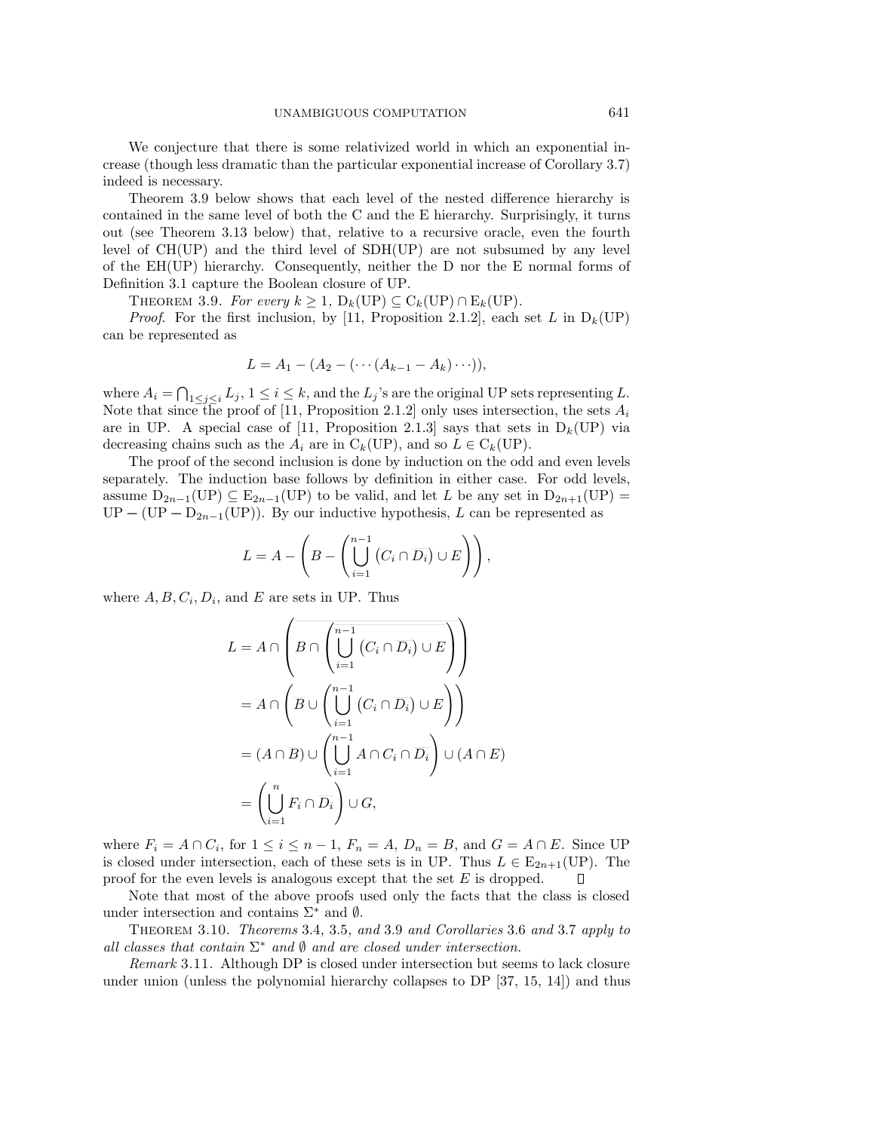We conjecture that there is some relativized world in which an exponential increase (though less dramatic than the particular exponential increase of Corollary 3.7) indeed is necessary.

Theorem 3.9 below shows that each level of the nested difference hierarchy is contained in the same level of both the C and the E hierarchy. Surprisingly, it turns out (see Theorem 3.13 below) that, relative to a recursive oracle, even the fourth level of CH(UP) and the third level of SDH(UP) are not subsumed by any level of the EH(UP) hierarchy. Consequently, neither the D nor the E normal forms of Definition 3.1 capture the Boolean closure of UP.

THEOREM 3.9. For every  $k > 1$ ,  $D_k(UP) \subset C_k(UP) \cap E_k(UP)$ .

*Proof.* For the first inclusion, by [11, Proposition 2.1.2], each set L in  $D_k(UP)$ can be represented as

$$
L = A_1 - (A_2 - (\cdots (A_{k-1} - A_k) \cdots)),
$$

where  $A_i = \bigcap_{1 \leq j \leq i} L_j$ ,  $1 \leq i \leq k$ , and the  $L_j$ 's are the original UP sets representing L. Note that since the proof of [11, Proposition 2.1.2] only uses intersection, the sets  $A_i$ are in UP. A special case of [11, Proposition 2.1.3] says that sets in  $D_k(UP)$  via decreasing chains such as the  $A_i$  are in  $C_k(UP)$ , and so  $L \in C_k(UP)$ .

The proof of the second inclusion is done by induction on the odd and even levels separately. The induction base follows by definition in either case. For odd levels, assume  $D_{2n-1}(UP) \subseteq E_{2n-1}(UP)$  to be valid, and let L be any set in  $D_{2n+1}(UP)$  $UP - (UP - D_{2n-1}(UP))$ . By our inductive hypothesis, L can be represented as

$$
L = A - \left( B - \left( \bigcup_{i=1}^{n-1} \left( C_i \cap \overline{D_i} \right) \cup E \right) \right),
$$

where  $A, B, C_i, D_i$ , and E are sets in UP. Thus

$$
L = A \cap \left( B \cap \left( \bigcup_{i=1}^{n-1} (C_i \cap \overline{D_i}) \cup E \right) \right)
$$
  
=  $A \cap \left( \overline{B} \cup \left( \bigcup_{i=1}^{n-1} (C_i \cap \overline{D_i}) \cup E \right) \right)$   
=  $(A \cap \overline{B}) \cup \left( \bigcup_{i=1}^{n-1} A \cap C_i \cap \overline{D_i} \right) \cup (A \cap E)$   
=  $\left( \bigcup_{i=1}^{n} F_i \cap \overline{D_i} \right) \cup G,$ 

where  $F_i = A \cap C_i$ , for  $1 \leq i \leq n-1$ ,  $F_n = A$ ,  $D_n = B$ , and  $G = A \cap E$ . Since UP is closed under intersection, each of these sets is in UP. Thus  $L \in E_{2n+1}(UP)$ . The proof for the even levels is analogous except that the set  $E$  is dropped.  $\Box$ 

Note that most of the above proofs used only the facts that the class is closed under intersection and contains Σ*<sup>∗</sup>* and *∅*.

Theorem 3.10. Theorems 3.4, 3.5, and 3.9 and Corollaries 3.6 and 3.7 apply to all classes that contain  $\Sigma^*$  and  $\emptyset$  and are closed under intersection.

Remark 3.11. Although DP is closed under intersection but seems to lack closure under union (unless the polynomial hierarchy collapses to DP [37, 15, 14]) and thus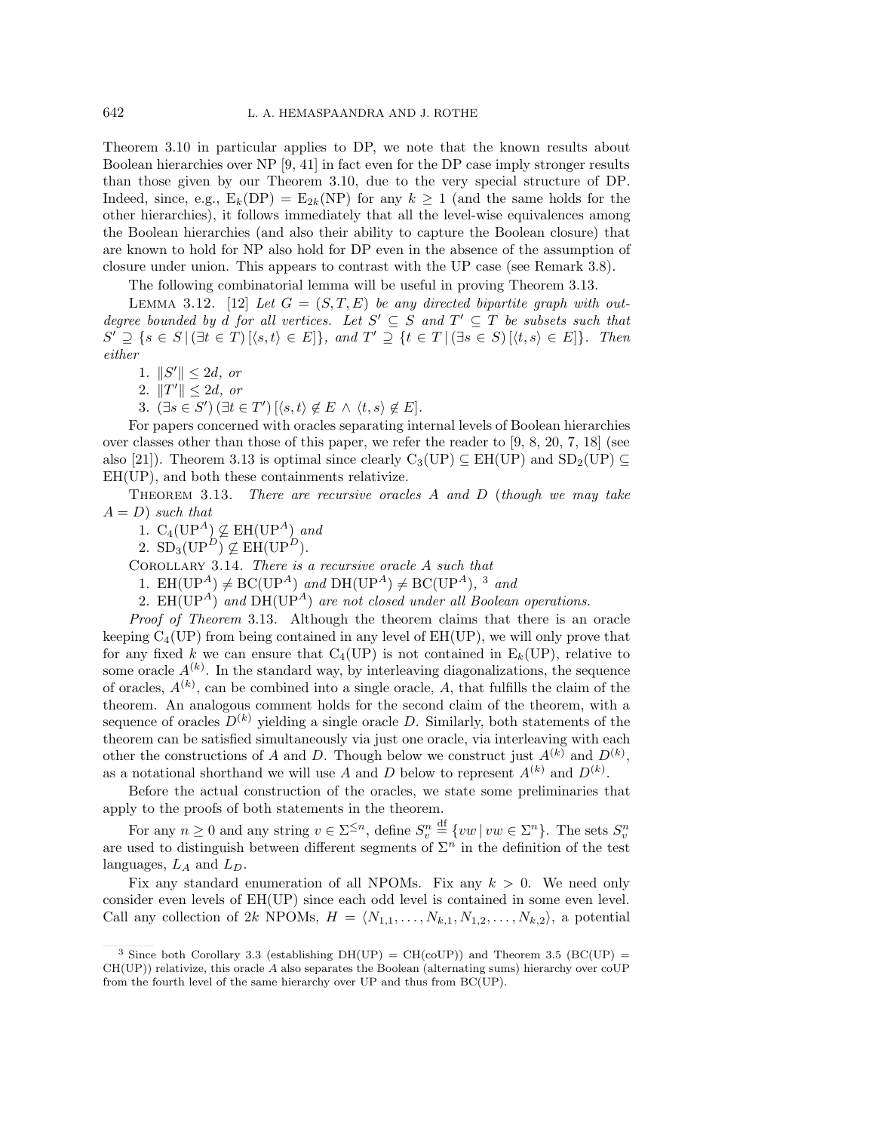Theorem 3.10 in particular applies to DP, we note that the known results about Boolean hierarchies over NP [9, 41] in fact even for the DP case imply stronger results than those given by our Theorem 3.10, due to the very special structure of DP. Indeed, since, e.g.,  $E_k(DP) = E_{2k}(NP)$  for any  $k \ge 1$  (and the same holds for the other hierarchies), it follows immediately that all the level-wise equivalences among the Boolean hierarchies (and also their ability to capture the Boolean closure) that are known to hold for NP also hold for DP even in the absence of the assumption of closure under union. This appears to contrast with the UP case (see Remark 3.8).

The following combinatorial lemma will be useful in proving Theorem 3.13.

LEMMA 3.12. [12] Let  $G = (S, T, E)$  be any directed bipartite graph with outdegree bounded by d for all vertices. Let  $S' \subseteq S$  and  $T' \subseteq T$  be subsets such that  $S' \supseteq \{s \in S \mid (\exists t \in T) \, [\langle s, t \rangle \in E] \}, \text{ and } T' \supseteq \{t \in T \mid (\exists s \in S) \, [\langle t, s \rangle \in E] \}.$  Then either

- 1.  $\|S'\| \le 2d$ , or
- 2.  $||T'|| \le 2d$ , or
- 3.  $(\exists s \in S') (\exists t \in T') \left[ \langle s, t \rangle \notin E \land \langle t, s \rangle \notin E \right].$

For papers concerned with oracles separating internal levels of Boolean hierarchies over classes other than those of this paper, we refer the reader to [9, 8, 20, 7, 18] (see also [21]). Theorem 3.13 is optimal since clearly  $C_3(UP) \subseteq EH(UP)$  and  $SD_2(UP) \subseteq$ EH(UP), and both these containments relativize.

THEOREM 3.13. There are recursive oracles  $A$  and  $D$  (though we may take  $A = D$ ) such that

1.  $C_4(\text{UP}^A) \nsubseteq \text{EH}(\text{UP}^A)$  and

2.  $SD_3(UP^D) \not\subseteq EH(UP^D)$ .

Corollary 3.14. There is a recursive oracle A such that

1. EH(UP<sup>A</sup>)  $\neq$  BC(UP<sup>A</sup>) and DH(UP<sup>A</sup>)  $\neq$  BC(UP<sup>A</sup>), <sup>3</sup> and

2.  $EH(\text{UP}^A)$  and  $DH(\text{UP}^A)$  are not closed under all Boolean operations.

Proof of Theorem 3.13. Although the theorem claims that there is an oracle keeping  $C_4(UP)$  from being contained in any level of  $EH(UP)$ , we will only prove that for any fixed k we can ensure that  $C_4(UP)$  is not contained in  $E_k(UP)$ , relative to some oracle  $A^{(k)}$ . In the standard way, by interleaving diagonalizations, the sequence of oracles,  $A^{(k)}$ , can be combined into a single oracle, A, that fulfills the claim of the theorem. An analogous comment holds for the second claim of the theorem, with a sequence of oracles  $D^{(k)}$  yielding a single oracle D. Similarly, both statements of the theorem can be satisfied simultaneously via just one oracle, via interleaving with each other the constructions of A and D. Though below we construct just  $A^{(k)}$  and  $D^{(k)}$ , as a notational shorthand we will use A and D below to represent  $A^{(k)}$  and  $D^{(k)}$ .

Before the actual construction of the oracles, we state some preliminaries that apply to the proofs of both statements in the theorem.

For any  $n \geq 0$  and any string  $v \in \Sigma^{\leq n}$ , define  $S_v^n$  $\stackrel{\text{df}}{=} \{vw \mid vw \in \Sigma^n\}.$  The sets  $S_v^n$ are used to distinguish between different segments of  $\Sigma<sup>n</sup>$  in the definition of the test languages,  $L_A$  and  $L_D$ .

Fix any standard enumeration of all NPOMs. Fix any  $k > 0$ . We need only consider even levels of EH(UP) since each odd level is contained in some even level. Call any collection of 2k NPOMs,  $H = \langle N_{1,1}, \ldots, N_{k,1}, N_{1,2}, \ldots, N_{k,2} \rangle$ , a potential

<sup>&</sup>lt;sup>3</sup> Since both Corollary 3.3 (establishing  $DH(UP) = CH(cOUP)$ ) and Theorem 3.5 (BC(UP) =  $CH(UP)$ ) relativize, this oracle A also separates the Boolean (alternating sums) hierarchy over coUP from the fourth level of the same hierarchy over UP and thus from BC(UP).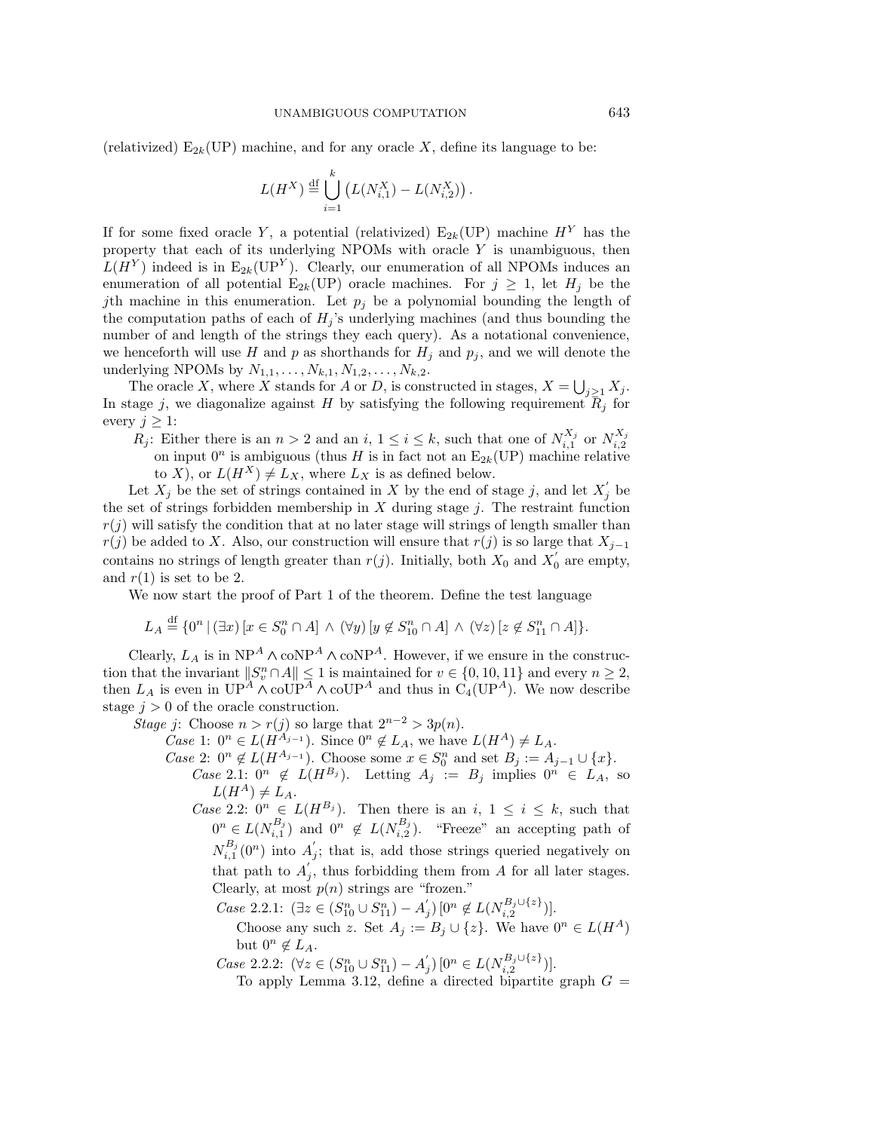(relativized)  $E_{2k}(UP)$  machine, and for any oracle X, define its language to be:

$$
L(H^X) \stackrel{\text{df}}{=} \bigcup_{i=1}^k \left( L(N^X_{i,1}) - L(N^X_{i,2}) \right).
$$

If for some fixed oracle Y, a potential (relativized)  $E_{2k}(UP)$  machine  $H<sup>Y</sup>$  has the property that each of its underlying NPOMs with oracle Y is unambiguous, then  $L(H<sup>Y</sup>)$  indeed is in E<sub>2k</sub>(UP<sup>Y</sup>). Clearly, our enumeration of all NPOMs induces an enumeration of all potential  $E_{2k}(UP)$  oracle machines. For  $j \geq 1$ , let  $H_j$  be the jth machine in this enumeration. Let  $p_j$  be a polynomial bounding the length of the computation paths of each of  $H_j$ 's underlying machines (and thus bounding the number of and length of the strings they each query). As a notational convenience, we henceforth will use H and p as shorthands for  $H_i$  and  $p_i$ , and we will denote the underlying NPOMs by  $N_{1,1},...,N_{k,1}, N_{1,2},...,N_{k,2}$ .

The oracle X, where X stands for A or D, is constructed in stages,  $X = \bigcup_{j\geq 1} X_j$ . In stage j, we diagonalize against H by satisfying the following requirement  $\overline{R}_j$  for every  $j \geq 1$ :

 $R_j$ : Either there is an  $n > 2$  and an  $i, 1 \leq i \leq k$ , such that one of  $N_{i,1}^{X_j}$  or  $N_{i,2}^{X_j}$ on input  $0^n$  is ambiguous (thus H is in fact not an  $E_{2k}(UP)$  machine relative to X), or  $L(H^X) \neq L_X$ , where  $L_X$  is as defined below.

Let  $X_j$  be the set of strings contained in X by the end of stage j, and let  $X'_j$  be the set of strings forbidden membership in  $X$  during stage  $j$ . The restraint function  $r(j)$  will satisfy the condition that at no later stage will strings of length smaller than  $r(j)$  be added to X. Also, our construction will ensure that  $r(j)$  is so large that  $X_{j-1}$ contains no strings of length greater than  $r(j)$ . Initially, both  $X_0$  and  $X'_0$  are empty, and  $r(1)$  is set to be 2.

We now start the proof of Part 1 of the theorem. Define the test language

$$
L_A \stackrel{\text{df}}{=} \{0^n \mid (\exists x) \left[ x \in S_0^n \cap A \right] \land (\forall y) \left[ y \notin S_{10}^n \cap A \right] \land (\forall z) \left[ z \notin S_{11}^n \cap A \right] \}.
$$

Clearly,  $L_A$  is in  $NP^A \wedge \text{coNP}^A \wedge \text{coNP}^A$ . However, if we ensure in the construction that the invariant  $||S_v^n \cap A|| \leq 1$  is maintained for  $v \in \{0, 10, 11\}$  and every  $n \geq 2$ , then  $L_A$  is even in  $UP^A \wedge \text{coUP}^A \wedge \text{coUP}^A$  and thus in  $C_4(UP^A)$ . We now describe stage  $j > 0$  of the oracle construction.

Stage j: Choose  $n > r(j)$  so large that  $2^{n-2} > 3p(n)$ .

- *Case* 1:  $0^n \in L(H^{A_{j-1}})$ . Since  $0^n \notin L_A$ , we have  $L(H^A) \neq L_A$ .
- *Case* 2:  $0^n \notin L(H^{A_{j-1}})$ . Choose some  $x \in S_0^n$  and set  $B_j := A_{j-1} \cup \{x\}$ .
	- Case 2.1:  $0^n$  ∉  $L(H^{B_j})$ . Letting  $A_j := B_j$  implies  $0^n \in L_A$ , so  $L(H^A) \neq L_A$ .
	- *Case* 2.2:  $0^n \in L(H^{B_j})$ . Then there is an *i*,  $1 \leq i \leq k$ , such that  $0^n \in L(N_{i,1}^{B_j})$  and  $0^n \notin L(N_{i,2}^{B_j})$ . "Freeze" an accepting path of  $N_{i,1}^{B_j}(0^n)$  into  $A'_j$ ; that is, add those strings queried negatively on that path to  $A'_{j}$ , thus forbidding them from A for all later stages. Clearly, at most  $p(n)$  strings are "frozen."
		- $Case 2.2.1:$   $(∃z ∈ (S_{10}^n ∪ S_{11}^n) − A'_{j}) [0^n ∉ L(N_{i,2}^{B_j ∪ \{z\}})].$

Choose any such z. Set  $A_j := B_j \cup \{z\}$ . We have  $0^n \in L(H^A)$ but  $0^n \notin L_A$ .

 $Case 2.2.2:$   $(\forall z \in (S_{10}^n \cup S_{11}^n) - A'_j)$  [0<sup>n</sup> ∈  $L(N_{i,2}^{B_j \cup \{z\}})$ ].

To apply Lemma 3.12, define a directed bipartite graph  $G =$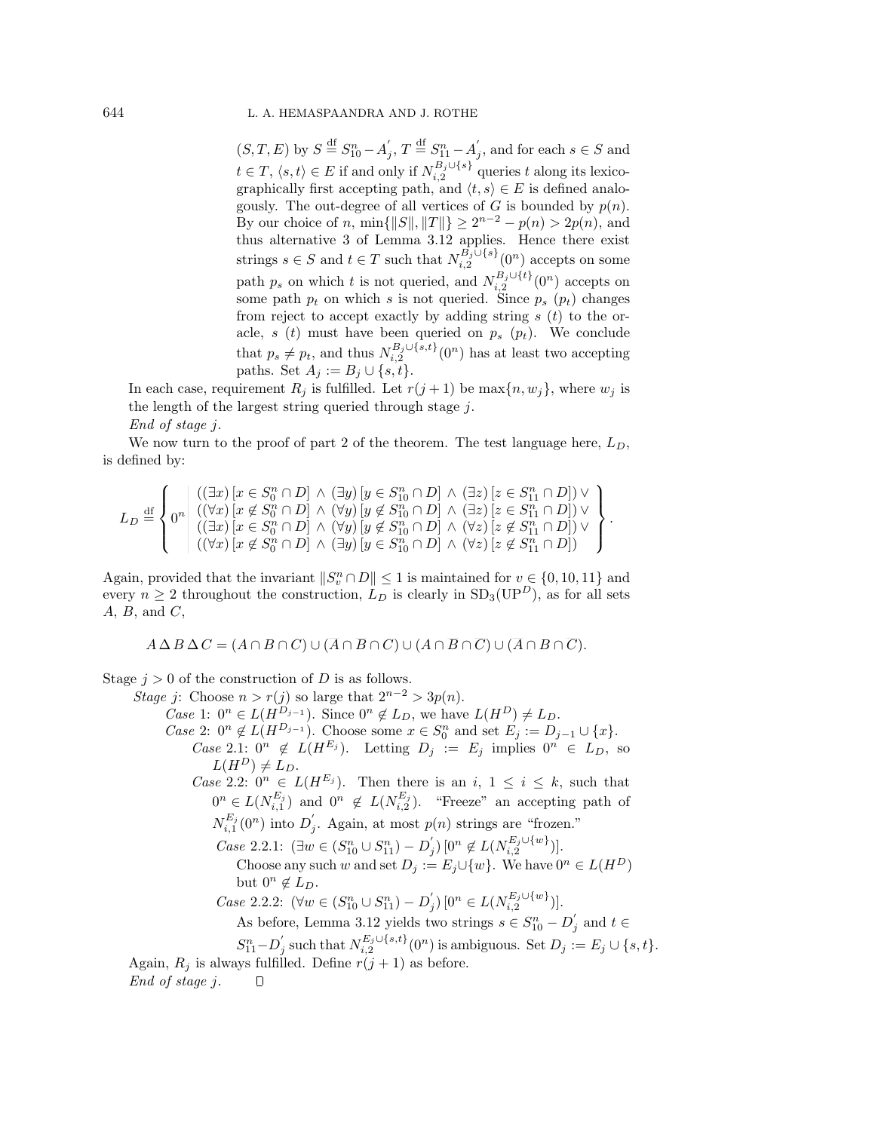$(S, T, E)$  by  $S \stackrel{\text{df}}{=} S_{10}^n - A'_j$ ,  $T \stackrel{\text{df}}{=} S_{11}^n - A'_j$ , and for each  $s \in S$  and  $t \in T$ ,  $\langle s, t \rangle \in E$  if and only if  $N_{i,2}^{B_j \cup \{s\}}$  queries t along its lexicographically first accepting path, and  $\langle t, s \rangle \in E$  is defined analogously. The out-degree of all vertices of G is bounded by  $p(n)$ . By our choice of n, min $\{|S|, \|T\|\} \ge 2^{n-2} - p(n) > 2p(n)$ , and thus alternative 3 of Lemma 3.12 applies. Hence there exist strings  $s \in S$  and  $t \in T$  such that  $N_{i,2}^{B_j \cup \{s\}}(0^n)$  accepts on some path  $p_s$  on which t is not queried, and  $N_{i,2}^{B_j \cup \{t\}}(0^n)$  accepts on some path  $p_t$  on which s is not queried. Since  $p_s$  ( $p_t$ ) changes from reject to accept exactly by adding string  $s(t)$  to the oracle, s (t) must have been queried on  $p_s$  ( $p_t$ ). We conclude that  $p_s \neq p_t$ , and thus  $N_{i,2}^{B_j \cup \{s,t\}}(0^n)$  has at least two accepting paths. Set  $A_j := B_j ∪ \{s,t\}.$ 

.

In each case, requirement  $R_j$  is fulfilled. Let  $r(j + 1)$  be max $\{n, w_j\}$ , where  $w_j$  is the length of the largest string queried through stage j.

End of stage j.

We now turn to the proof of part 2 of the theorem. The test language here,  $L_D$ , is defined by:

$$
L_D \stackrel{\text{df}}{=} \left\{ 0^n \middle| \begin{array}{l} \left( (\exists x) \left[ x \in S_0^n \cap D \right] \land (\exists y) \left[ y \in S_{10}^n \cap D \right] \land (\exists z) \left[ z \in S_{11}^n \cap D \right] \lor \\ \left( (\forall x) \left[ x \notin S_0^n \cap D \right] \land (\forall y) \left[ y \notin S_{10}^n \cap D \right] \land (\exists z) \left[ z \in S_{11}^n \cap D \right] \lor \\ \left( (\exists x) \left[ x \in S_0^n \cap D \right] \land (\forall y) \left[ y \notin S_{10}^n \cap D \right] \land (\forall z) \left[ z \notin S_{11}^n \cap D \right] \lor \\ \left( (\forall x) \left[ x \notin S_0^n \cap D \right] \land (\exists y) \left[ y \in S_{10}^n \cap D \right] \land (\forall z) \left[ z \notin S_{11}^n \cap D \right] \right) \end{array} \right\}
$$

Again, provided that the invariant  $||S_v^n \cap D|| \leq 1$  is maintained for  $v \in \{0, 10, 11\}$  and every  $n \geq 2$  throughout the construction,  $L_D$  is clearly in  $SD_3(UP^D)$ , as for all sets  $A, B, \text{ and } C,$ 

$$
A \Delta B \Delta C = (A \cap B \cap C) \cup (\overline{A} \cap \overline{B} \cap C) \cup (A \cap \overline{B} \cap \overline{C}) \cup (\overline{A} \cap B \cap \overline{C}).
$$

Stage  $j > 0$  of the construction of D is as follows.

Stage j: Choose  $n>r(j)$  so large that  $2^{n-2} > 3p(n)$ . *Case* 1:  $0^n \in L(H^{D_{j-1}})$ . Since  $0^n \notin L_D$ , we have  $L(H^D) \neq L_D$ . *Case* 2:  $0^n \notin L(H^{D_{j-1}})$ . Choose some  $x \in S_0^n$  and set  $E_j := D_{j-1} \cup \{x\}$ . Case 2.1:  $0^n$  ∉  $L(H^{E_j})$ . Letting  $D_j := E_j$  implies  $0^n \in L_D$ , so  $L(H^D) \neq L_D.$ *Case* 2.2:  $0^n \in L(H^{E_j})$ . Then there is an *i*,  $1 \leq i \leq k$ , such that  $0^n \in L(N_{i,1}^{E_j})$  and  $0^n \notin L(N_{i,2}^{E_j})$ . "Freeze" an accepting path of  $N_{i,1}^{E_j}(0^n)$  into  $D'_j$ . Again, at most  $p(n)$  strings are "frozen."  $Case 2.2.1:$   $(∃w ∈ (S_{10}^n ∪ S_{11}^n) − D'_{j}) [0^n ∉ L(N_{i,2}^{E_j ∪ \{w\}})].$ Choose any such w and set  $D_i := E_i \cup \{w\}$ . We have  $0^n \in L(H^D)$ but  $0^n \notin L_D$ .  $Case 2.2.2: (\forall w \in (S_{10}^n \cup S_{11}^n) - D'_j) \left[0^n \in L(N_{i,2}^{E_j \cup \{w\}})\right].$ As before, Lemma 3.12 yields two strings  $s \in S_{10}^n - D_j$  and  $t \in$  $S_{11}^n - D'_j$  such that  $N_{i,2}^{E_j \cup \{s,t\}}(0^n)$  is ambiguous. Set  $D_j := E_j \cup \{s,t\}.$ Again,  $R_i$  is always fulfilled. Define  $r(j + 1)$  as before.

End of stage j. $\Box$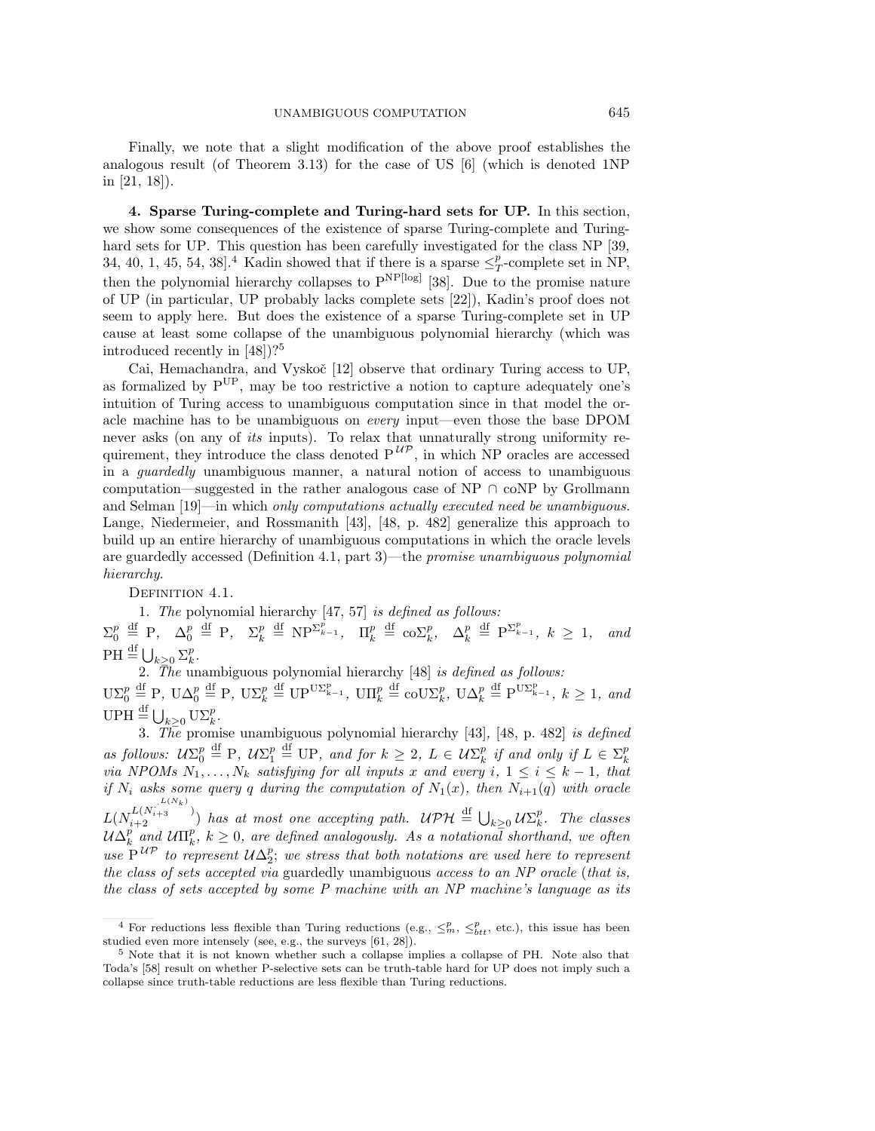Finally, we note that a slight modification of the above proof establishes the analogous result (of Theorem 3.13) for the case of US [6] (which is denoted 1NP in [21, 18]).

**4. Sparse Turing-complete and Turing-hard sets for UP.** In this section, we show some consequences of the existence of sparse Turing-complete and Turinghard sets for UP. This question has been carefully investigated for the class NP [39, 34, 40, 1, 45, 54, 38<sup>1</sup>.<sup>4</sup> Kadin showed that if there is a sparse  $\leq^p_T$ -complete set in NP, then the polynomial hierarchy collapses to  $P^{NP[log]}$  [38]. Due to the promise nature of UP (in particular, UP probably lacks complete sets [22]), Kadin's proof does not seem to apply here. But does the existence of a sparse Turing-complete set in UP cause at least some collapse of the unambiguous polynomial hierarchy (which was introduced recently in [48])?<sup>5</sup>

Cai, Hemachandra, and Vyskoč [12] observe that ordinary Turing access to UP, as formalized by PUP, may be too restrictive a notion to capture adequately one's intuition of Turing access to unambiguous computation since in that model the oracle machine has to be unambiguous on every input—even those the base DPOM never asks (on any of its inputs). To relax that unnaturally strong uniformity requirement, they introduce the class denoted  $P^{U\mathcal{P}}$ , in which NP oracles are accessed in a guardedly unambiguous manner, a natural notion of access to unambiguous computation—suggested in the rather analogous case of NP *∩* coNP by Grollmann and Selman [19]—in which only computations actually executed need be unambiguous. Lange, Niedermeier, and Rossmanith [43], [48, p. 482] generalize this approach to build up an entire hierarchy of unambiguous computations in which the oracle levels are guardedly accessed (Definition 4.1, part 3)—the promise unambiguous polynomial hierarchy.

DEFINITION 4.1.

1. The polynomial hierarchy [47, 57] is defined as follows:

 $\Sigma_0^p \stackrel{\text{df}}{=} P$ ,  $\Delta_0^p \stackrel{\text{df}}{=} P$ ,  $\Sigma_k^p \stackrel{\text{df}}{=} NP^{\Sigma_{k-1}^p}$ ,  $\Pi_k^p \stackrel{\text{df}}{=} \text{co}\Sigma_k^p$ ,  $\Delta_k^p \stackrel{\text{df}}{=} P^{\Sigma_{k-1}^p}$ ,  $k \ge 1$ , and  $\text{PH} \stackrel{\text{df}}{=} \bigcup_{k \geq 0} \sum_{k}^{p}$ .

2. The unambiguous polynomial hierarchy  $[48]$  is defined as follows:  $\mathrm{U}\Sigma_{0}^{p}\stackrel{\mathrm{df}}{=} \mathrm{P}, \ \mathrm{U}\Delta_{0}^{p}\stackrel{\mathrm{df}}{=} \mathrm{U}\mathrm{P}^{\mathrm{U}\Sigma_{\mathrm{k}-1}^{p}}, \ \mathrm{U}\Pi_{k}^{p}\stackrel{\mathrm{df}}{=} \mathrm{coU}\Sigma_{k}^{p}, \ \mathrm{U}\Delta_{k}^{p}\stackrel{\mathrm{df}}{=} \mathrm{P}^{\mathrm{U}\Sigma_{\mathrm{k}-1}^{p}}, \ k\geq 1, \ and$  $UPH \stackrel{\text{df}}{=} \bigcup_{k \geq 0} U\Sigma_k^p$ .

3. The promise unambiguous polynomial hierarchy  $[43]$ ,  $[48$ , p. 482] is defined as follows:  $U\Sigma_0^p \stackrel{\text{df}}{=} P$ ,  $U\Sigma_1^p \stackrel{\text{df}}{=} UP$ , and for  $k \geq 2$ ,  $L \in U\Sigma_k^p$  if and only if  $L \in \Sigma_k^p$  via NPOMs  $N_1, \ldots, N_k$  satisfying for all inputs x and every i,  $1 \leq i \leq k-1$ , that if  $N_i$  asks some query q during the computation of  $N_1(x)$ , then  $N_{i+1}(q)$  with oracle  $L(N_{i+2}^{L(N_k)}))$  has at most one accepting path.  $\mathcal{UPH} \stackrel{\mathrm{df}}{=} \bigcup_{k \geq 0} \mathcal{U}\Sigma_k^p$ . The classes  $\mathcal{U}\Delta_k^p$  and  $\mathcal{U}\Pi_k^p$ ,  $k\geq 0$ , are defined analogously. As a notational shorthand, we often use  $P^{UP}$  to represent  $U\Delta_2^p$ ; we stress that both notations are used here to represent the class of sets accepted via guardedly unambiguous access to an NP oracle (that is, the class of sets accepted by some P machine with an NP machine's language as its

<sup>&</sup>lt;sup>4</sup> For reductions less flexible than Turing reductions (e.g.,  $\leq^p_m, \leq^p_{btt}$ , etc.), this issue has been studied even more intensely (see, e.g., the surveys [61, 28]).

<sup>5</sup> Note that it is not known whether such a collapse implies a collapse of PH. Note also that Toda's [58] result on whether P-selective sets can be truth-table hard for UP does not imply such a collapse since truth-table reductions are less flexible than Turing reductions.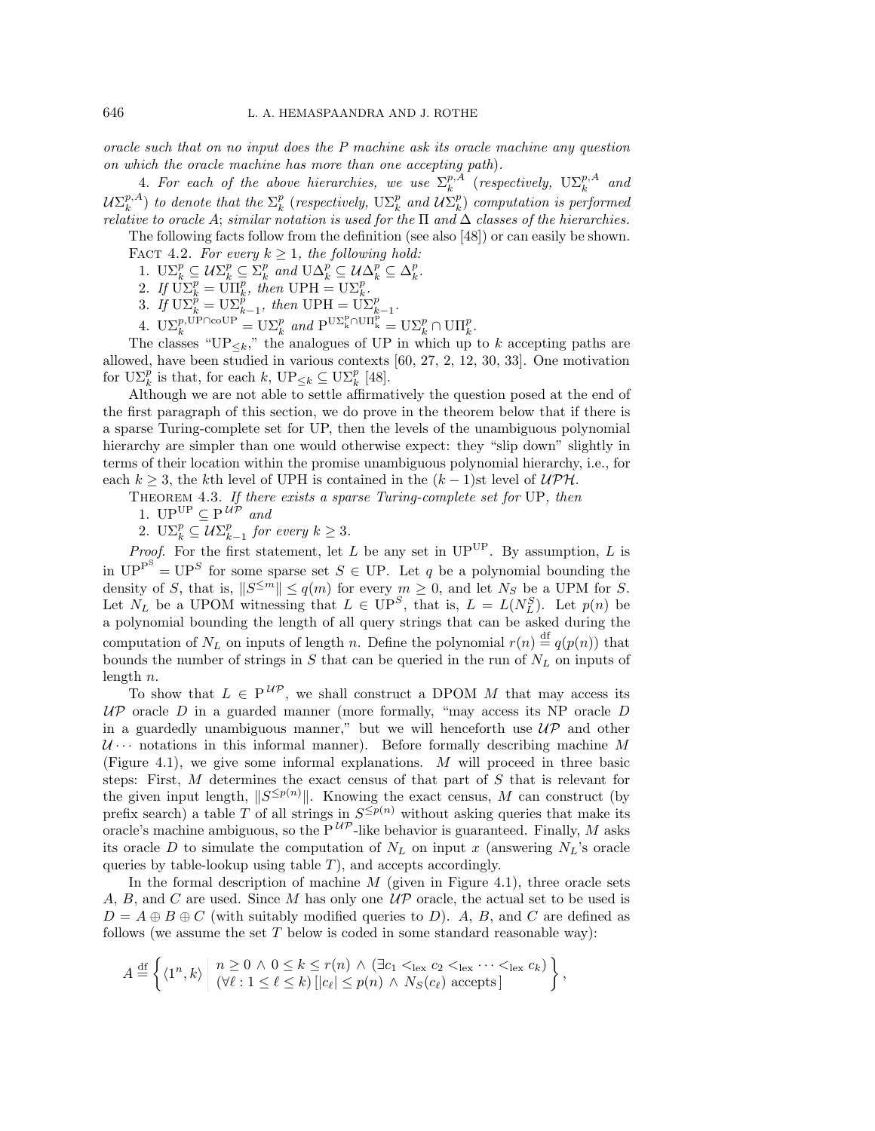oracle such that on no input does the P machine ask its oracle machine any question on which the oracle machine has more than one accepting path).

4. For each of the above hierarchies, we use  $\Sigma_k^{p,A}$  (respectively,  $\mathrm{U}\Sigma_k^{p,A}$  and  $\mathcal{U}\Sigma_k^{p,A})$  to denote that the  $\Sigma_k^p$  (respectively,  $\mathrm{U}\Sigma_k^p$  and  $\mathcal{U}\Sigma_k^p)$  computation is performed relative to oracle A; similar notation is used for the  $\Pi$  and  $\Delta$  classes of the hierarchies.

The following facts follow from the definition (see also [48]) or can easily be shown.

FACT 4.2. For every  $k \geq 1$ , the following hold:

1.  $\mathbf{U}\Sigma_k^p \subseteq \mathcal{U}\Sigma_k^p \subseteq \Sigma_k^p$  and  $\mathbf{U}\Delta_k^p \subseteq \mathcal{U}\Delta_k^p \subseteq \Delta_k^p$ .

2. If  $\overline{U}\Sigma_k^p = \overline{U}\Pi_k^p$ , then  $UPH = U\Sigma_k^p$ .

3. If  $\text{U}\Sigma_k^{\tilde{p}} = \text{U}\Sigma_{k-1}^{\tilde{p}}$ , then  $\text{UPH} = \text{U}\Sigma_{k-1}^p$ .

4.  $\mathbf{U}\Sigma_k^{p,\text{UP}\cap\text{coUP}} = \mathbf{U}\Sigma_k^p$  and  $\mathbf{P}^{\mathbf{U}\Sigma_k^p\cap\text{U}\Pi_k^p} = \mathbf{U}\Sigma_k^p \cap \text{U}\Pi_k^p$ .

The classes " $UP_{\leq k}$ ," the analogues of UP in which up to k accepting paths are allowed, have been studied in various contexts [60, 27, 2, 12, 30, 33]. One motivation for  $\mathrm{U}\Sigma_k^p$  is that, for each k,  $\mathrm{U}\mathrm{P}_{\leq k} \subseteq \mathrm{U}\Sigma_k^p$  [48].

Although we are not able to settle affirmatively the question posed at the end of the first paragraph of this section, we do prove in the theorem below that if there is a sparse Turing-complete set for UP, then the levels of the unambiguous polynomial hierarchy are simpler than one would otherwise expect: they "slip down" slightly in terms of their location within the promise unambiguous polynomial hierarchy, i.e., for each  $k \geq 3$ , the k<sup>th</sup> level of UPH is contained in the  $(k-1)$ st level of  $\mathcal{UPH}$ .

THEOREM 4.3. If there exists a sparse Turing-complete set for UP, then

1.  $UP^{UP} \subseteq P^{UP}$  and

2.  $\mathbb{U}\Sigma_k^p \subseteq \mathcal{U}\Sigma_{k-1}^p$  for every  $k \geq 3$ .

*Proof.* For the first statement, let L be any set in  $UP^{UP}$ . By assumption, L is in  $UP^{P^S} = UP^S$  for some sparse set  $S \in UP$ . Let q be a polynomial bounding the density of S, that is,  $||S^{\leq m}|| \leq q(m)$  for every  $m \geq 0$ , and let  $N_S$  be a UPM for S. Let  $N_L$  be a UPOM witnessing that  $L \in \text{UP}^S$ , that is,  $L = L(N_L^S)$ . Let  $p(n)$  be a polynomial bounding the length of all query strings that can be asked during the computation of  $N_L$  on inputs of length n. Define the polynomial  $r(n) \stackrel{\text{df}}{=} q(p(n))$  that bounds the number of strings in  $S$  that can be queried in the run of  $N_L$  on inputs of length  $n$ .

To show that  $L \in P^{U\mathcal{P}}$ , we shall construct a DPOM M that may access its  $UP$  oracle  $D$  in a guarded manner (more formally, "may access its NP oracle  $D$ in a guardedly unambiguous manner," but we will henceforth use  $\mathcal{UP}$  and other  $U \cdots$  notations in this informal manner). Before formally describing machine M (Figure 4.1), we give some informal explanations. M will proceed in three basic steps: First, M determines the exact census of that part of S that is relevant for the given input length,  $||S^{\leq p(n)}||$ . Knowing the exact census, M can construct (by prefix search) a table T of all strings in  $S^{\leq p(n)}$  without asking queries that make its oracle's machine ambiguous, so the  $P^{UP}$ -like behavior is guaranteed. Finally, M asks its oracle D to simulate the computation of  $N_L$  on input x (answering  $N_L$ 's oracle queries by table-lookup using table  $T$ ), and accepts accordingly.

In the formal description of machine  $M$  (given in Figure 4.1), three oracle sets A, B, and C are used. Since M has only one *UP* oracle, the actual set to be used is  $D = A \oplus B \oplus C$  (with suitably modified queries to D). A, B, and C are defined as follows (we assume the set  $T$  below is coded in some standard reasonable way):

$$
A \stackrel{\mathrm{df}}{=} \left\{ \langle 1^n, k \rangle \middle| \begin{array}{l} n \geq 0 \land 0 \leq k \leq r(n) \land (\exists c_1 <_{\text{lex}} c_2 <_{\text{lex}} \cdots <_{\text{lex}} c_k) \\ (\forall \ell : 1 \leq \ell \leq k) \left[ |c_{\ell}| \leq p(n) \land N_S(c_{\ell}) \text{ accepts} \right] \end{array} \right\},
$$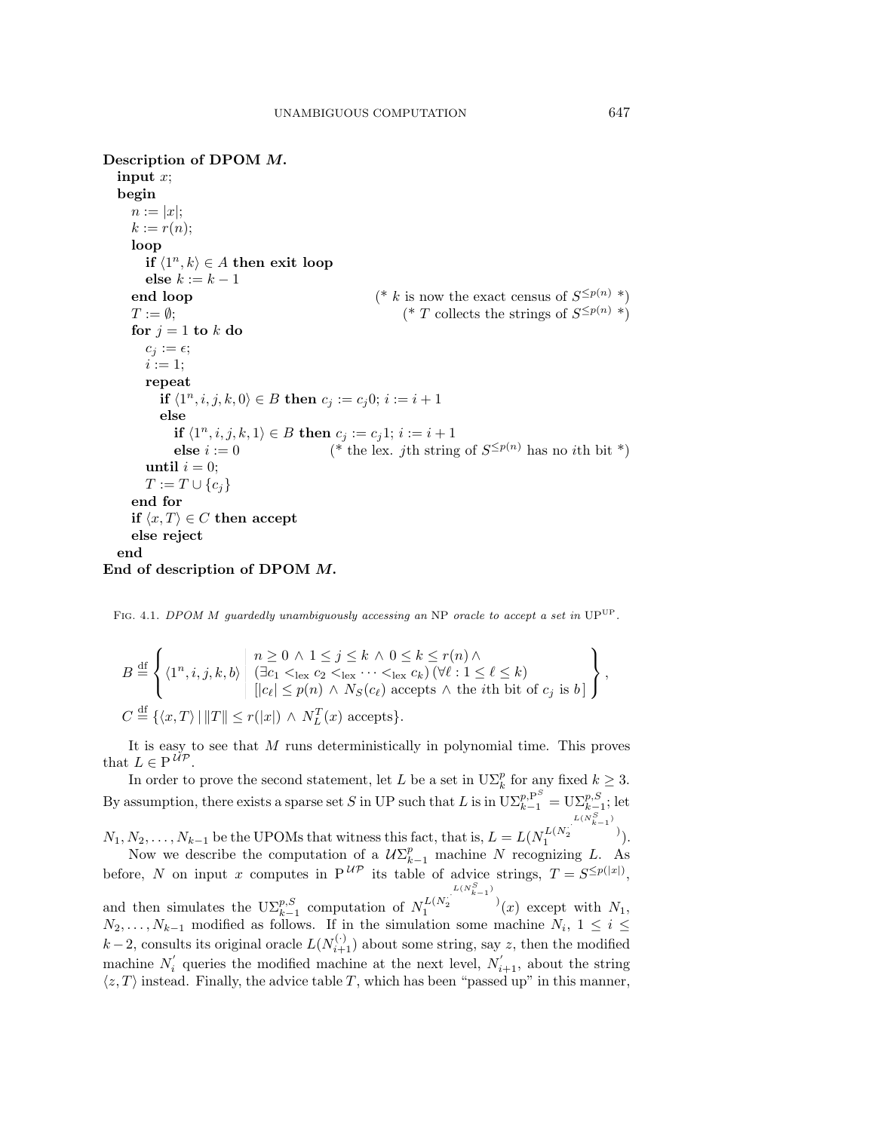**Description of DPOM** *M.* **input** x; **begin**  $n := |x|$ ;  $k := r(n);$ **loop if**  $\langle 1^n, k \rangle$  ∈ A **then exit loop else**  $k := k - 1$ **end loop** (\* k is now the exact census of  $S^{\leq p(n)}$  \*)  $T := \emptyset;$  (\* T collects the strings of  $S^{\leq p(n)}$  \*) **for**  $j = 1$  **to**  $k$  **do**  $c_j := \epsilon;$  $i := 1$ ; **repeat if**  $\langle 1^n, i, j, k, 0 \rangle \in B$  **then**  $c_j := c_j 0; i := i + 1$ **else if**  $\langle 1^n, i, j, k, 1 \rangle \in B$  **then**  $c_j := c_j 1; i := i + 1$ **else**  $i := 0$  (\* the lex. *j*th string of  $S^{\leq p(n)}$  has no *i*th bit \*) **until**  $i = 0$ ;  $T := T ∪ {c<sub>i</sub>}$ **end for if**  $\langle x, T \rangle \in C$  **then accept else reject end End of description of DPOM** *M.*

FIG. 4.1. DPOM M guardedly unambiguously accessing an NP oracle to accept a set in UP<sup>UP</sup>.

$$
B \stackrel{\mathrm{df}}{=} \left\{ \langle 1^n, i, j, k, b \rangle \middle| \begin{array}{l} n \geq 0 \land 1 \leq j \leq k \land 0 \leq k \leq r(n) \land \\ (\exists c_1 <_{\text{lex}} c_2 <_{\text{lex}} \cdots <_{\text{lex}} c_k) \, (\forall \ell : 1 \leq \ell \leq k) \\ ||c_{\ell}| \leq p(n) \land N_S(c_{\ell}) \text{ accepts } \land \text{ the } i\text{th bit of } c_j \text{ is } b] \end{array} \right\},
$$
  

$$
C \stackrel{\mathrm{df}}{=} \left\{ \langle x, T \rangle \, | \, ||T|| \leq r(|x|) \land N_L^T(x) \text{ accepts} \right\}.
$$

It is easy to see that M runs deterministically in polynomial time. This proves that  $L \in \mathrm{P}^{\mathcal{UP}}$ .

In order to prove the second statement, let L be a set in  $\mathrm{U}\Sigma_k^p$  for any fixed  $k \geq 3$ . By assumption, there exists a sparse set S in UP such that L is in  $\mathrm{U}\Sigma_{k-1}^{p,\mathrm{P}^S} = \mathrm{U}\Sigma_{k-1}^{p,S}$ ; let

 $N_1, N_2, \ldots, N_{k-1}$  be the UPOMs that witness this fact, that is,  $L = L(N_1^{L(N_2^{(N_2^{(L(N_2^{(N_1)})})})$ .

Now we describe the computation of a  $U\Sigma_{k-1}^p$  machine N recognizing L. As before, N on input x computes in  $P^{UP}$  its table of advice strings,  $T = S^{\leq p(|x|)}$ , and then simulates the  $\text{U}\Sigma_{k-1}^{p,S}$  computation of  $N_1^{L(N_2^{j}, L(N_2^{j})}$  $\frac{L(N_2^{L(N_{k-1}^s)})}{1}$  (x) except with  $N_1$ ,  $N_2, \ldots, N_{k-1}$  modified as follows. If in the simulation some machine  $N_i$ , 1 ≤ *i* ≤  $k-2$ , consults its original oracle  $L(N_{i+1}^{(\cdot)})$  about some string, say z, then the modified machine  $N_i$  queries the modified machine at the next level,  $N_{i+1}$ , about the string  $\langle z, T \rangle$  instead. Finally, the advice table T, which has been "passed up" in this manner,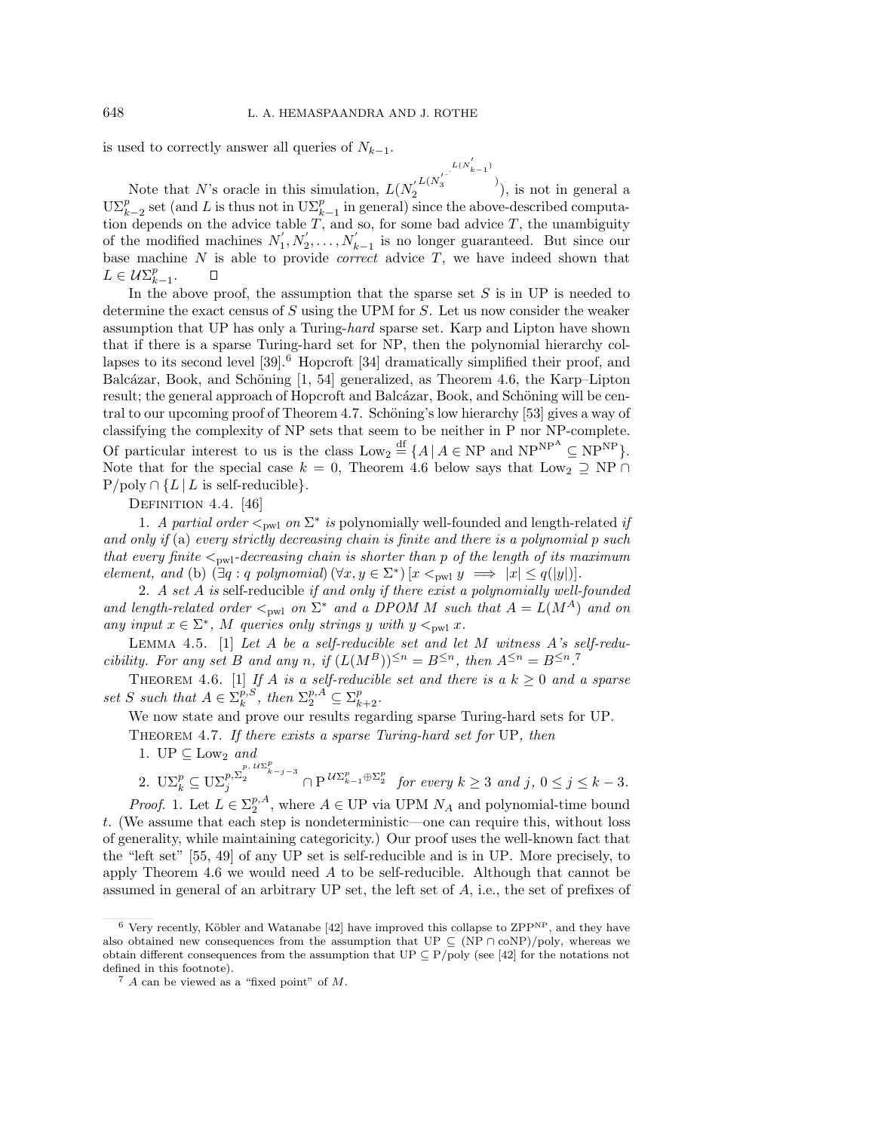is used to correctly answer all queries of  $N_{k-1}$ .

 $L(N_3^{'})$ <sup> $L(N_{k-1}^{'})$ </sup> ) ), is not in general a Note that N's oracle in this simulation,  $L(N_2)$  $\mathrm{U}\Sigma_{k-2}^p$  set (and L is thus not in  $\mathrm{U}\Sigma_{k-1}^p$  in general) since the above-described computa- $_{k-2}^p$  set (and L is thus not in  $\mathrm{U}\Sigma_k^p$ tion depends on the advice table  $T$ , and so, for some bad advice  $T$ , the unambiguity of the modified machines  $N'_1, N'_2, \ldots, N'_{k-1}$  is no longer guaranteed. But since our base machine  $N$  is able to provide *correct* advice  $T$ , we have indeed shown that  $L \in \mathcal{U}\Sigma_{k-1}^p$ . О

In the above proof, the assumption that the sparse set  $S$  is in UP is needed to determine the exact census of  $S$  using the UPM for  $S$ . Let us now consider the weaker assumption that UP has only a Turing-hard sparse set. Karp and Lipton have shown that if there is a sparse Turing-hard set for NP, then the polynomial hierarchy collapses to its second level  $[39]$ .<sup>6</sup> Hopcroft  $[34]$  dramatically simplified their proof, and Balcázar, Book, and Schöning  $[1, 54]$  generalized, as Theorem 4.6, the Karp–Lipton result; the general approach of Hopcroft and Balcázar, Book, and Schöning will be central to our upcoming proof of Theorem 4.7. Schöning's low hierarchy [53] gives a way of classifying the complexity of NP sets that seem to be neither in P nor NP-complete. Of particular interest to us is the class  $\text{Low}_2 \stackrel{\text{df}}{=} \{A \mid A \in \text{NP} \text{ and } \text{NP}^{\text{NP}} \subseteq \text{NP}^{\text{NP}}\}.$ Note that for the special case  $k = 0$ , Theorem 4.6 below says that Low<sub>2</sub>  $\supset$  NP  $\cap$ P/poly *∩ {*L*|*L is self-reducible*}*.

DEFINITION 4.4. [46]

1. A partial order  $\leq_{\text{pwl}}$  on  $\Sigma^*$  is polynomially well-founded and length-related if and only if (a) every strictly decreasing chain is finite and there is a polynomial  $p$  such that every finite  $\lt_{pwl}$ -decreasing chain is shorter than p of the length of its maximum element, and (b)  $(\exists q : q \text{ polynomial}) (\forall x, y \in \Sigma^*) [x <_{\text{pwl}} y \implies |x| \leq q(|y|)].$ 

2. A set A is self-reducible if and only if there exist a polynomially well-founded and length-related order  $\lt_{pwl}$  on  $\Sigma^*$  and a DPOM M such that  $A = L(M^A)$  and on any input  $x \in \Sigma^*$ , M queries only strings y with  $y <_{\text{pwl}} x$ .

LEMMA 4.5. [1] Let  $A$  be a self-reducible set and let  $M$  witness  $A$ 's self-reducibility. For any set B and any n, if  $(L(M^B))^{\leq n} = B^{\leq n}$ , then  $A^{\leq n} = B^{\leq n}$ .<sup>7</sup>

THEOREM 4.6. [1] If A is a self-reducible set and there is a  $k \geq 0$  and a sparse set *S* such that  $A \in \sum_{k}^{p,S}$ , then  $\sum_{2}^{p,A} \subseteq \sum_{k+2}^{p}$ .

We now state and prove our results regarding sparse Turing-hard sets for UP.

THEOREM 4.7. If there exists a sparse Turing-hard set for UP, then

1.  $UP \subseteq Low_2 \text{ and }$ 

 $\sum_{k=1}^{\infty} \sum_{j=1}^{p} \sum_{k-j=3}^{p} \sum_{k-j=3}^{p} \sum_{j=1}^{p} \mathbb{E} \mathbb{E} \mathbb{E} \mathbb{E} \mathbb{E} \mathbb{E} \mathbb{E} \mathbb{E} \mathbb{E} \mathbb{E} \mathbb{E} \mathbb{E} \mathbb{E} \mathbb{E} \mathbb{E} \mathbb{E} \mathbb{E} \mathbb{E} \mathbb{E} \mathbb{E} \mathbb{E} \mathbb{E} \mathbb{E} \mathbb{E} \mathbb{E} \mathbb{E} \mathbb{E} \mathbb{$ 

*Proof.* 1. Let  $L \in \Sigma_2^{p,A}$ , where  $A \in \text{UPW}$  wia UPM  $N_A$  and polynomial-time bound t. (We assume that each step is nondeterministic—one can require this, without loss of generality, while maintaining categoricity.) Our proof uses the well-known fact that the "left set" [55, 49] of any UP set is self-reducible and is in UP. More precisely, to apply Theorem 4.6 we would need  $A$  to be self-reducible. Although that cannot be assumed in general of an arbitrary UP set, the left set of A, i.e., the set of prefixes of

 $6$  Very recently, Köbler and Watanabe [42] have improved this collapse to ZPP<sup>NP</sup>, and they have also obtained new consequences from the assumption that UP  $\subseteq (NP \cap \text{coNP})/\text{poly}$ , whereas we obtain different consequences from the assumption that UP *⊆* P/poly (see [42] for the notations not defined in this footnote).

<sup>7</sup> A can be viewed as a "fixed point" of M.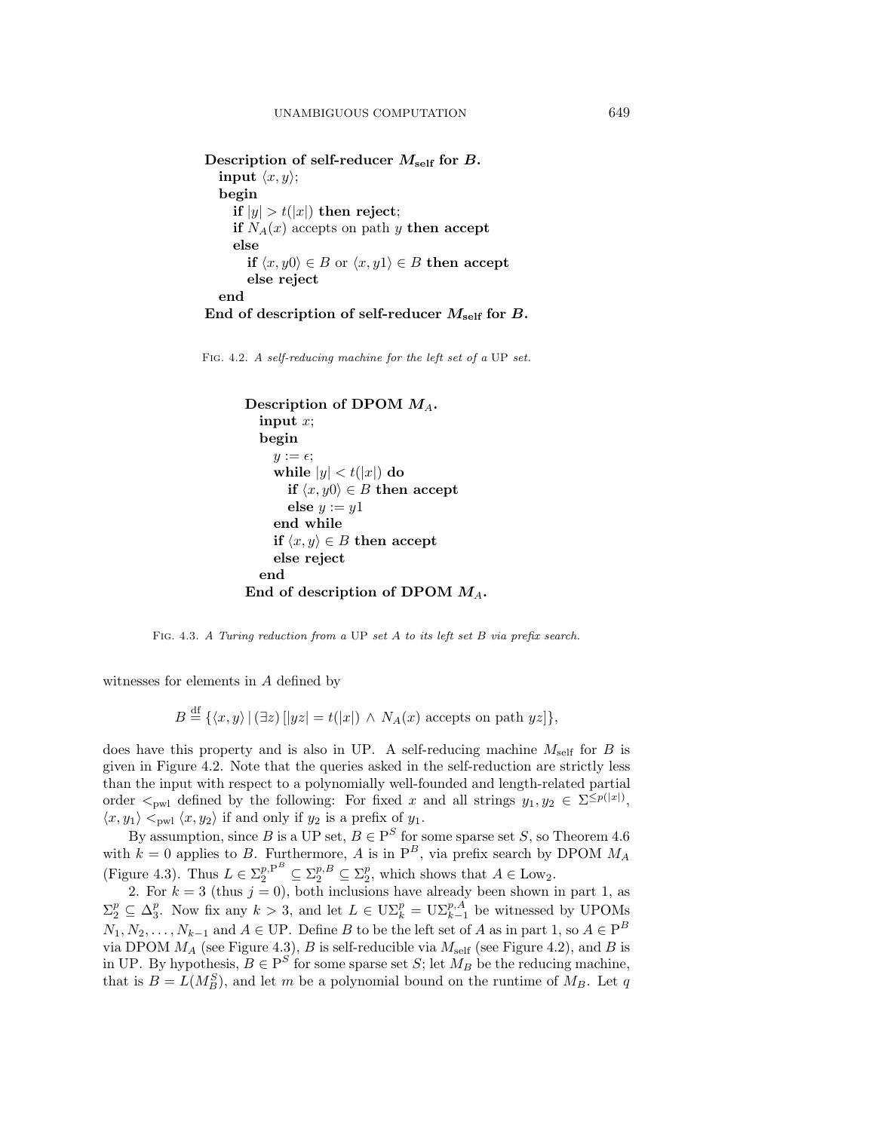**Description of self-reducer** *M***self for** *B.* **input**  $\langle x, y \rangle$ ; **begin if**  $|y| > t(|x|)$  **then reject**; **if**  $N_A(x)$  accepts on path y **then accept else if**  $\langle x, y0 \rangle$  ∈ B or  $\langle x, y1 \rangle$  ∈ B **then accept else reject end End of description of self-reducer** *M***self for** *B.*

Fig. 4.2. A self-reducing machine for the left set of a UP set.

```
Description of DPOM MA.
  input x;
  begin
    y := \epsilon;while |y| < t(|x|) do
       if \langle x, y \rangle ∈ B then accept
       else y := y1end while
    if \langle x, y \rangle \in B then accept
     else reject
  end
End of description of DPOM M_A.
```
FIG. 4.3. A Turing reduction from a UP set A to its left set B via prefix search.

witnesses for elements in A defined by

 $B \stackrel{\text{df}}{=} {\{x, y) | (\exists z) [|yz| = t(|x|) \land N_A(x) \text{ accepts on path } yz] \},\$ 

does have this property and is also in UP. A self-reducing machine  $M_{\text{self}}$  for B is given in Figure 4.2. Note that the queries asked in the self-reduction are strictly less than the input with respect to a polynomially well-founded and length-related partial order  $\lt_{pw1}$  defined by the following: For fixed x and all strings  $y_1, y_2 \in \Sigma^{\leq p(|x|)},$  $\langle x, y_1 \rangle <_{\text{pwl}} \langle x, y_2 \rangle$  if and only if  $y_2$  is a prefix of  $y_1$ .

By assumption, since B is a UP set,  $B \in P^S$  for some sparse set S, so Theorem 4.6 with  $k = 0$  applies to B. Furthermore, A is in  $P^B$ , via prefix search by DPOM  $M_A$ (Figure 4.3). Thus  $L \in \Sigma_2^{p,P^B} \subseteq \Sigma_2^{p,B} \subseteq \Sigma_2^p$ , which shows that  $A \in \text{Low}_2$ .

2. For  $k = 3$  (thus  $j = 0$ ), both inclusions have already been shown in part 1, as  $\Sigma_2^p \subseteq \Delta_3^p$ . Now fix any  $k > 3$ , and let  $L \in \mathrm{U}\Sigma_k^p = \mathrm{U}\Sigma_{k-1}^{p,A}$  be witnessed by UPOMs  $N_1, N_2, \ldots, N_{k-1}$  and  $A \in \text{UP}$ . Define B to be the left set of A as in part 1, so  $A \in \text{P}^B$ via DPOM  $M_A$  (see Figure 4.3), B is self-reducible via  $M_{\text{self}}$  (see Figure 4.2), and B is in UP. By hypothesis,  $B \in P^{S'}$  for some sparse set S; let  $M_B$  be the reducing machine, that is  $B = L(M_B^S)$ , and let m be a polynomial bound on the runtime of  $M_B$ . Let q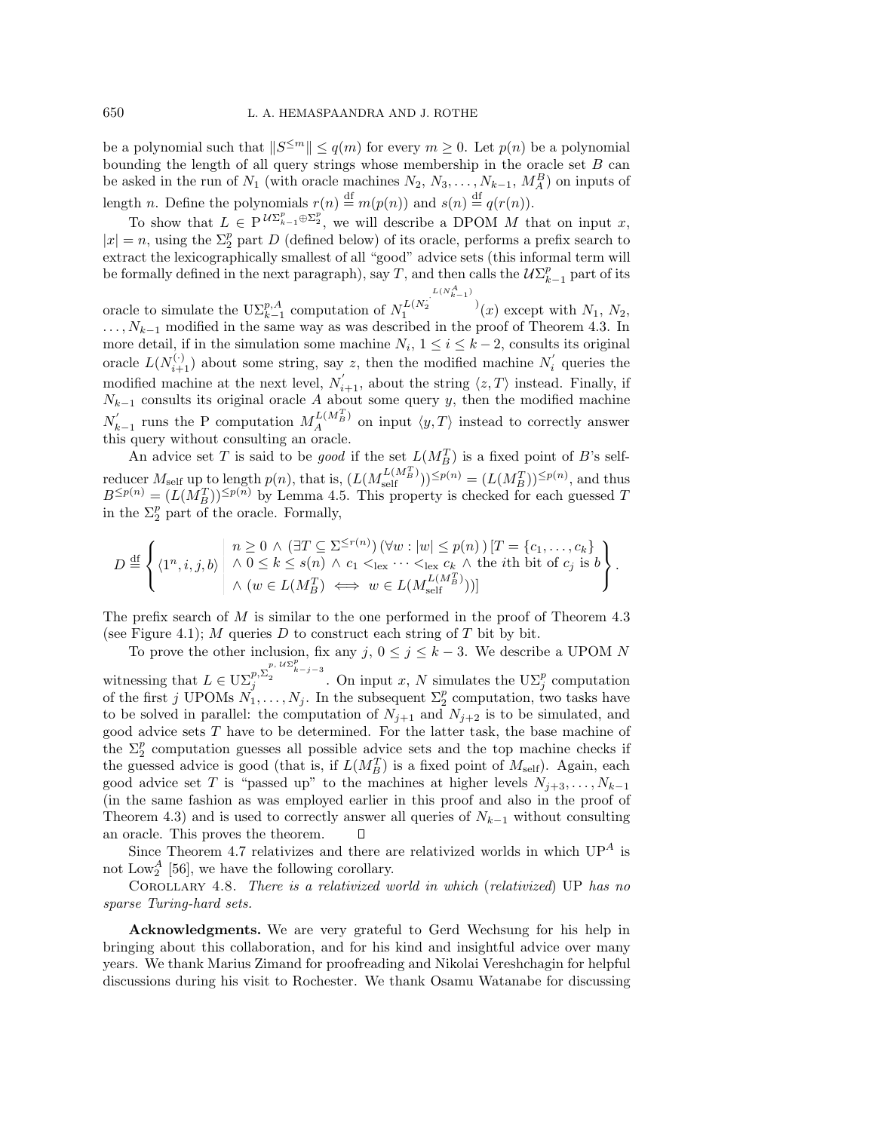be a polynomial such that  $||S^{\leq m}|| \leq q(m)$  for every  $m \geq 0$ . Let  $p(n)$  be a polynomial bounding the length of all query strings whose membership in the oracle set  $B$  can be asked in the run of  $N_1$  (with oracle machines  $N_2, N_3, \ldots, N_{k-1}, M_A^B$ ) on inputs of length *n*. Define the polynomials  $r(n) \stackrel{\text{df}}{=} m(p(n))$  and  $s(n) \stackrel{\text{df}}{=} q(r(n))$ .

To show that  $L \in P^{U\Sigma_{k-1}^p \oplus \Sigma_2^p}$ , we will describe a DPOM M that on input x,  $|x| = n$ , using the  $\Sigma_2^p$  part D (defined below) of its oracle, performs a prefix search to extract the lexicographically smallest of all "good" advice sets (this informal term will be formally defined in the next paragraph), say T, and then calls the  $\mathcal{U}\Sigma_{k-1}^p$  part of its

oracle to simulate the  $\mathrm{U}\Sigma_{k-1}^{p,A}$  computation of  $N_1^{L(N_2^{L}(N_{k-1}^{A}))}(x)$  except with  $N_1, N_2$ , ..., N<sub>k−1</sub> modified in the same way as was described in the proof of Theorem 4.3. In more detail, if in the simulation some machine  $N_i$ ,  $1 \leq i \leq k-2$ , consults its original oracle  $L(N_{i+1}^{(\cdot)})$  about some string, say z, then the modified machine  $N_i^{'}$  queries the modified machine at the next level,  $N'_{i+1}$ , about the string  $\langle z, T \rangle$  instead. Finally, if  $N_{k-1}$  consults its original oracle A about some query y, then the modified machine  $N'_{k-1}$  runs the P computation  $M_A^{L(M_B^T)}$  on input  $\langle y, T \rangle$  instead to correctly answer this query without consulting an oracle.

An advice set T is said to be good if the set  $L(M_B^T)$  is a fixed point of B's selfreducer  $M_{\text{self}}$  up to length  $p(n)$ , that is,  $(L(M_{\text{self}}^{L(M_B^T)}))^{\leq p(n)} = (L(M_B^T))^{\leq p(n)}$ , and thus  $B^{\leq p(n)} = (L(M_B^T))^{\leq p(n)}$  by Lemma 4.5. This property is checked for each guessed T in the  $\Sigma_2^p$  part of the oracle. Formally,

$$
D \stackrel{\mathrm{df}}{=} \left\{ \langle 1^n, i, j, b \rangle \middle| \begin{array}{l} n \geq 0 \land (\exists T \subseteq \Sigma^{\leq r(n)}) \left( \forall w : |w| \leq p(n) \right) [T = \{c_1, \ldots, c_k\} \\ \land \ 0 \leq k \leq s(n) \land c_1 <_{\text{lex}} \cdots <_{\text{lex}} c_k \land \text{ the } i\text{th bit of } c_j \text{ is } b \\ \land \ (w \in L(M_B^T) \iff w \in L(M_{\text{self}}^{L(M_B^T)})) ] \end{array} \right\}.
$$

The prefix search of M is similar to the one performed in the proof of Theorem 4.3 (see Figure 4.1);  $M$  queries  $D$  to construct each string of  $T$  bit by bit.

To prove the other inclusion, fix any  $j, 0 \le j \le k-3$ . We describe a UPOM N witnessing that  $L \in \mathrm{U}\Sigma_j^{p,\Sigma_2^{p-j-3}}$ . On input x, N simulates the  $\mathrm{U}\Sigma_j^p$  computation of the first j UPOMs  $N_1, \ldots, N_j$ . In the subsequent  $\Sigma_2^p$  computation, two tasks have to be solved in parallel: the computation of  $N_{j+1}$  and  $N_{j+2}$  is to be simulated, and good advice sets T have to be determined. For the latter task, the base machine of the  $\Sigma_2^p$  computation guesses all possible advice sets and the top machine checks if the guessed advice is good (that is, if  $L(M<sub>B</sub><sup>T</sup>)$  is a fixed point of  $M<sub>self</sub>$ ). Again, each good advice set T is "passed up" to the machines at higher levels  $N_{j+3},...,N_{k-1}$ (in the same fashion as was employed earlier in this proof and also in the proof of Theorem 4.3) and is used to correctly answer all queries of  $N_{k-1}$  without consulting an oracle. This proves the theorem.  $\Box$ 

Since Theorem 4.7 relativizes and there are relativized worlds in which  $UP^A$  is not  $\text{Low}_2^A$  [56], we have the following corollary.

Corollary 4.8. There is a relativized world in which (relativized) UP has no sparse Turing-hard sets.

**Acknowledgments.** We are very grateful to Gerd Wechsung for his help in bringing about this collaboration, and for his kind and insightful advice over many years. We thank Marius Zimand for proofreading and Nikolai Vereshchagin for helpful discussions during his visit to Rochester. We thank Osamu Watanabe for discussing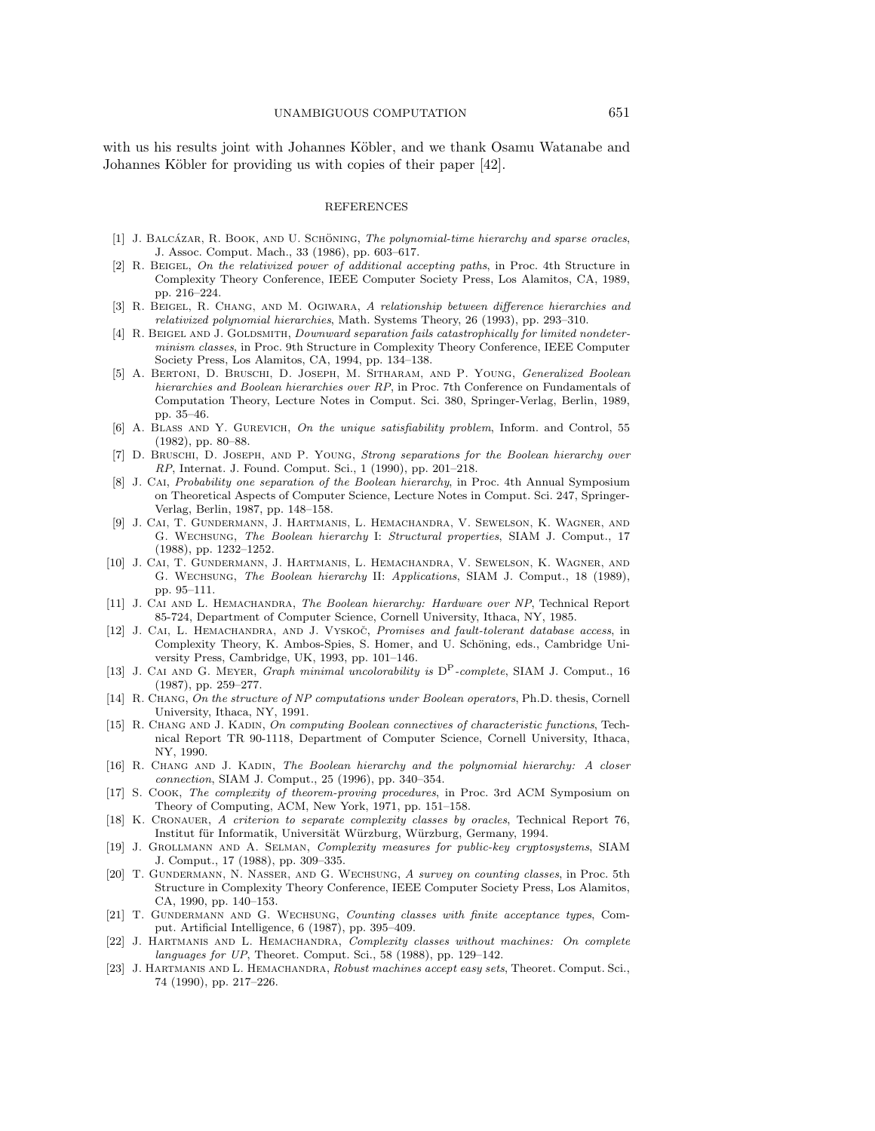with us his results joint with Johannes Köbler, and we thank Osamu Watanabe and Johannes Köbler for providing us with copies of their paper [42].

# REFERENCES

- [1] J. BALCÁZAR, R. BOOK, AND U. SCHÖNING, *The polynomial-time hierarchy and sparse oracles*, J. Assoc. Comput. Mach., 33 (1986), pp. 603–617.
- [2] R. Beigel, On the relativized power of additional accepting paths, in Proc. 4th Structure in Complexity Theory Conference, IEEE Computer Society Press, Los Alamitos, CA, 1989, pp. 216–224.
- [3] R. Beigel, R. Chang, and M. Ogiwara, A relationship between difference hierarchies and relativized polynomial hierarchies, Math. Systems Theory, 26 (1993), pp. 293–310.
- [4] R. BEIGEL AND J. GOLDSMITH, *Downward separation fails catastrophically for limited nondeter*minism classes, in Proc. 9th Structure in Complexity Theory Conference, IEEE Computer Society Press, Los Alamitos, CA, 1994, pp. 134–138.
- [5] A. Bertoni, D. Bruschi, D. Joseph, M. Sitharam, and P. Young, Generalized Boolean hierarchies and Boolean hierarchies over RP, in Proc. 7th Conference on Fundamentals of Computation Theory, Lecture Notes in Comput. Sci. 380, Springer-Verlag, Berlin, 1989, pp. 35–46.
- [6] A. Blass and Y. Gurevich, On the unique satisfiability problem, Inform. and Control, 55 (1982), pp. 80–88.
- [7] D. Bruschi, D. Joseph, and P. Young, Strong separations for the Boolean hierarchy over RP, Internat. J. Found. Comput. Sci., 1 (1990), pp. 201–218.
- [8] J. CAI, *Probability one separation of the Boolean hierarchy*, in Proc. 4th Annual Symposium on Theoretical Aspects of Computer Science, Lecture Notes in Comput. Sci. 247, Springer-Verlag, Berlin, 1987, pp. 148–158.
- [9] J. Cai, T. Gundermann, J. Hartmanis, L. Hemachandra, V. Sewelson, K. Wagner, and G. Wechsung, The Boolean hierarchy I: Structural properties, SIAM J. Comput., 17 (1988), pp. 1232–1252.
- [10] J. Cai, T. Gundermann, J. Hartmanis, L. Hemachandra, V. Sewelson, K. Wagner, and G. Wechsung, The Boolean hierarchy II: Applications, SIAM J. Comput., 18 (1989), pp. 95–111.
- [11] J. Cai and L. Hemachandra, The Boolean hierarchy: Hardware over NP, Technical Report 85-724, Department of Computer Science, Cornell University, Ithaca, NY, 1985.
- [12] J. CAI, L. HEMACHANDRA, AND J. VYSKOC̈, Promises and fault-tolerant database access, in Complexity Theory, K. Ambos-Spies, S. Homer, and U. Schöning, eds., Cambridge University Press, Cambridge, UK, 1993, pp. 101–146.
- [13] J. Cai and G. Meyer, Graph minimal uncolorability is DP-complete, SIAM J. Comput., 16 (1987), pp. 259–277.
- [14] R. CHANG, On the structure of NP computations under Boolean operators, Ph.D. thesis, Cornell University, Ithaca, NY, 1991.
- [15] R. Chang and J. Kadin, On computing Boolean connectives of characteristic functions, Technical Report TR 90-1118, Department of Computer Science, Cornell University, Ithaca, NY, 1990.
- [16] R. CHANG AND J. KADIN, The Boolean hierarchy and the polynomial hierarchy: A closer connection, SIAM J. Comput., 25 (1996), pp. 340–354.
- [17] S. Cook, The complexity of theorem-proving procedures, in Proc. 3rd ACM Symposium on Theory of Computing, ACM, New York, 1971, pp. 151–158.
- [18] K. CRONAUER, A criterion to separate complexity classes by oracles, Technical Report 76, Institut für Informatik, Universität Würzburg, Würzburg, Germany, 1994.
- [19] J. Grollmann and A. Selman, Complexity measures for public-key cryptosystems, SIAM J. Comput., 17 (1988), pp. 309–335.
- [20] T. GUNDERMANN, N. NASSER, AND G. WECHSUNG, A survey on counting classes, in Proc. 5th Structure in Complexity Theory Conference, IEEE Computer Society Press, Los Alamitos, CA, 1990, pp. 140–153.
- [21] T. GUNDERMANN AND G. WECHSUNG, Counting classes with finite acceptance types, Comput. Artificial Intelligence, 6 (1987), pp. 395–409.
- [22] J. HARTMANIS AND L. HEMACHANDRA, Complexity classes without machines: On complete languages for UP, Theoret. Comput. Sci., 58 (1988), pp. 129–142.
- [23] J. HARTMANIS AND L. HEMACHANDRA, Robust machines accept easy sets, Theoret. Comput. Sci., 74 (1990), pp. 217–226.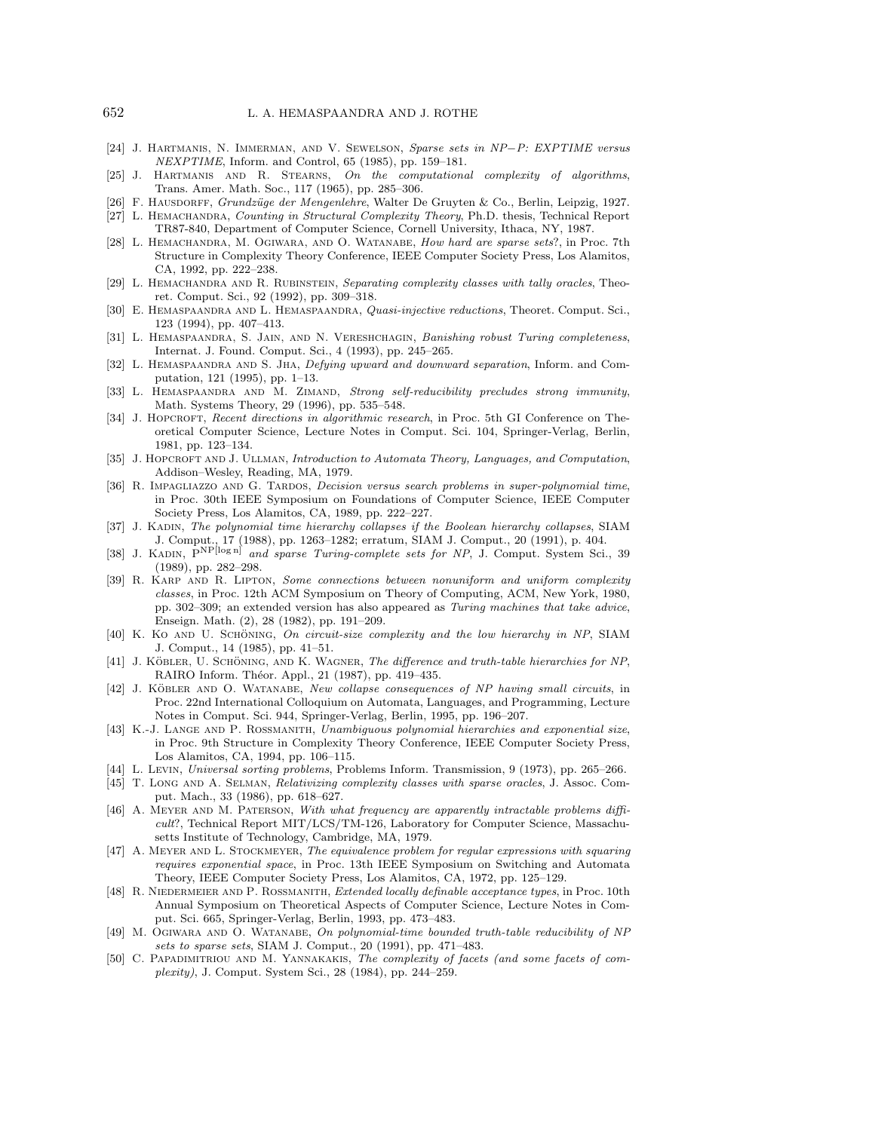- [24] J. Hartmanis, N. Immerman, and V. Sewelson, Sparse sets in NP*−*P: EXPTIME versus NEXPTIME, Inform. and Control, 65 (1985), pp. 159–181.
- [25] J. Hartmanis and R. Stearns, On the computational complexity of algorithms, Trans. Amer. Math. Soc., 117 (1965), pp. 285–306.
- [26] F. HAUSDORFF, *Grundzüge der Mengenlehre*, Walter De Gruyten & Co., Berlin, Leipzig, 1927.
- [27] L. HEMACHANDRA, Counting in Structural Complexity Theory, Ph.D. thesis, Technical Report TR87-840, Department of Computer Science, Cornell University, Ithaca, NY, 1987.
- [28] L. HEMACHANDRA, M. OGIWARA, AND O. WATANABE, How hard are sparse sets?, in Proc. 7th Structure in Complexity Theory Conference, IEEE Computer Society Press, Los Alamitos, CA, 1992, pp. 222–238.
- [29] L. HEMACHANDRA AND R. RUBINSTEIN, Separating complexity classes with tally oracles, Theoret. Comput. Sci., 92 (1992), pp. 309–318.
- [30] E. HEMASPAANDRA AND L. HEMASPAANDRA, Quasi-injective reductions, Theoret. Comput. Sci., 123 (1994), pp. 407–413.
- [31] L. HEMASPAANDRA, S. JAIN, AND N. VERESHCHAGIN, Banishing robust Turing completeness, Internat. J. Found. Comput. Sci., 4 (1993), pp. 245–265.
- [32] L. HEMASPAANDRA AND S. JHA, Defying upward and downward separation, Inform. and Computation, 121 (1995), pp. 1–13.
- [33] L. HEMASPAANDRA AND M. ZIMAND, Strong self-reducibility precludes strong immunity, Math. Systems Theory, 29 (1996), pp. 535–548.
- [34] J. HOPCROFT, Recent directions in algorithmic research, in Proc. 5th GI Conference on Theoretical Computer Science, Lecture Notes in Comput. Sci. 104, Springer-Verlag, Berlin, 1981, pp. 123–134.
- [35] J. HOPCROFT AND J. ULLMAN, Introduction to Automata Theory, Languages, and Computation, Addison–Wesley, Reading, MA, 1979.
- [36] R. IMPAGLIAZZO AND G. TARDOS, Decision versus search problems in super-polynomial time, in Proc. 30th IEEE Symposium on Foundations of Computer Science, IEEE Computer Society Press, Los Alamitos, CA, 1989, pp. 222–227.
- [37] J. KADIN, The polynomial time hierarchy collapses if the Boolean hierarchy collapses, SIAM J. Comput., 17 (1988), pp. 1263–1282; erratum, SIAM J. Comput., 20 (1991), p. 404.
- [38] J. KADIN,  $P^{NP[log n]}$  and sparse Turing-complete sets for NP, J. Comput. System Sci., 39 (1989), pp. 282–298.
- [39] R. Karp and R. Lipton, Some connections between nonuniform and uniform complexity classes, in Proc. 12th ACM Symposium on Theory of Computing, ACM, New York, 1980, pp. 302–309; an extended version has also appeared as Turing machines that take advice, Enseign. Math. (2), 28 (1982), pp. 191–209.
- [40] K. Ko AND U. SCHÖNING, On circuit-size complexity and the low hierarchy in NP, SIAM J. Comput., 14 (1985), pp. 41–51.
- [41] J. KÖBLER, U. SCHÖNING, AND K. WAGNER, The difference and truth-table hierarchies for NP, RAIRO Inform. Théor. Appl., 21 (1987), pp. 419-435.
- [42] J. KÖBLER AND O. WATANABE, New collapse consequences of NP having small circuits, in Proc. 22nd International Colloquium on Automata, Languages, and Programming, Lecture Notes in Comput. Sci. 944, Springer-Verlag, Berlin, 1995, pp. 196–207.
- [43] K.-J. LANGE AND P. ROSSMANITH, Unambiguous polynomial hierarchies and exponential size, in Proc. 9th Structure in Complexity Theory Conference, IEEE Computer Society Press, Los Alamitos, CA, 1994, pp. 106–115.
- [44] L. Levin, Universal sorting problems, Problems Inform. Transmission, 9 (1973), pp. 265–266.
- [45] T. LONG AND A. SELMAN, Relativizing complexity classes with sparse oracles, J. Assoc. Comput. Mach., 33 (1986), pp. 618–627.
- [46] A. MEYER AND M. PATERSON, With what frequency are apparently intractable problems difficult?, Technical Report MIT/LCS/TM-126, Laboratory for Computer Science, Massachusetts Institute of Technology, Cambridge, MA, 1979.
- [47] A. Meyer and L. Stockmeyer, The equivalence problem for regular expressions with squaring requires exponential space, in Proc. 13th IEEE Symposium on Switching and Automata Theory, IEEE Computer Society Press, Los Alamitos, CA, 1972, pp. 125–129.
- [48] R. NIEDERMEIER AND P. ROSSMANITH, Extended locally definable acceptance types, in Proc. 10th Annual Symposium on Theoretical Aspects of Computer Science, Lecture Notes in Comput. Sci. 665, Springer-Verlag, Berlin, 1993, pp. 473–483.
- [49] M. OGIWARA AND O. WATANABE, On polynomial-time bounded truth-table reducibility of NP sets to sparse sets, SIAM J. Comput., 20 (1991), pp. 471–483.
- [50] C. Papadimitriou and M. Yannakakis, The complexity of facets (and some facets of complexity), J. Comput. System Sci., 28 (1984), pp. 244–259.